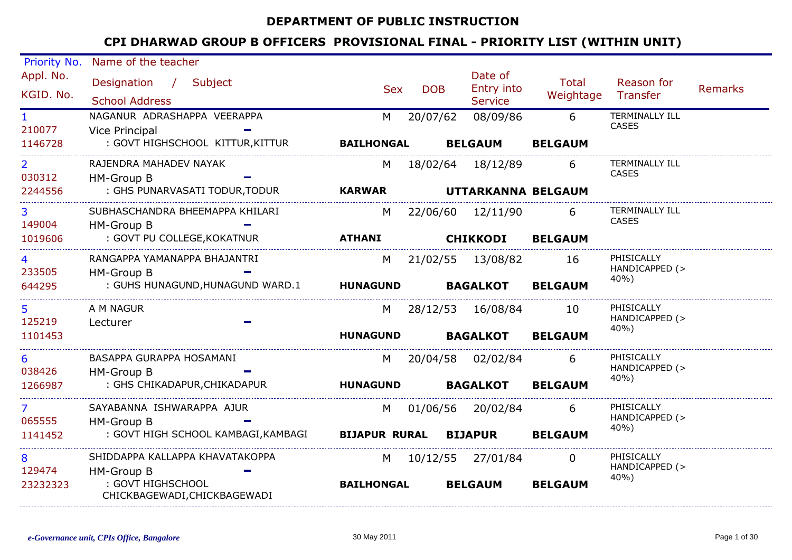#### DEPARTMENT OF PUBLIC INSTRUCTION

| Priority No.             | Name of the teacher                               |                              |            |                                         |                    |                                       |                |
|--------------------------|---------------------------------------------------|------------------------------|------------|-----------------------------------------|--------------------|---------------------------------------|----------------|
| Appl. No.<br>KGID. No.   | Designation / Subject<br><b>School Address</b>    | <b>Sex</b>                   | <b>DOB</b> | Date of<br>Entry into<br><b>Service</b> | Total<br>Weightage | Reason for<br>Transfer                | <b>Remarks</b> |
| $\mathbf{1}$<br>210077   | NAGANUR ADRASHAPPA VEERAPPA<br>Vice Principal     | M                            | 20/07/62   | 08/09/86                                | 6                  | <b>TERMINALLY ILL</b><br><b>CASES</b> |                |
| 1146728                  | : GOVT HIGHSCHOOL KITTUR, KITTUR                  | <b>BAILHONGAL</b>            |            | <b>BELGAUM</b>                          | <b>BELGAUM</b>     |                                       |                |
| $\overline{2}$<br>030312 | RAJENDRA MAHADEV NAYAK<br>HM-Group B              | M                            |            | 18/02/64 18/12/89                       | 6                  | <b>TERMINALLY ILL</b><br><b>CASES</b> |                |
| 2244556                  | : GHS PUNARVASATI TODUR, TODUR                    | <b>KARWAR</b>                |            | UTTARKANNA BELGAUM                      |                    |                                       |                |
| 3<br>149004              | SUBHASCHANDRA BHEEMAPPA KHILARI<br>HM-Group B     | M                            |            | 22/06/60 12/11/90                       | 6                  | <b>TERMINALLY ILL</b><br><b>CASES</b> |                |
| 1019606                  | : GOVT PU COLLEGE, KOKATNUR                       | <b>ATHANI</b>                |            | <b>CHIKKODI</b>                         | <b>BELGAUM</b>     |                                       |                |
| 4<br>233505              | RANGAPPA YAMANAPPA BHAJANTRI<br>HM-Group B        | M                            |            | 21/02/55 13/08/82                       | - 16               | PHISICALLY<br>HANDICAPPED (>          |                |
| 644295                   | : GUHS HUNAGUND,HUNAGUND WARD.1                   | <b>HUNAGUND</b>              |            | <b>BAGALKOT</b>                         | <b>BELGAUM</b>     | 40%)                                  |                |
| 5<br>125219              | A M NAGUR<br>Lecturer                             | M                            |            | 28/12/53 16/08/84                       | 10                 | PHISICALLY<br>HANDICAPPED (>          |                |
| 1101453                  |                                                   | <b>HUNAGUND</b>              |            | <b>BAGALKOT</b>                         | <b>BELGAUM</b>     | 40%)                                  |                |
| 6<br>038426              | BASAPPA GURAPPA HOSAMANI<br>HM-Group B            | M                            |            | 20/04/58 02/02/84                       | 6                  | PHISICALLY<br>HANDICAPPED (>          |                |
| 1266987                  | : GHS CHIKADAPUR, CHIKADAPUR                      | <b>HUNAGUND</b>              |            | <b>BAGALKOT</b>                         | <b>BELGAUM</b>     | 40%)                                  |                |
| $\overline{7}$<br>065555 | SAYABANNA ISHWARAPPA AJUR<br>HM-Group B           | M                            |            | 01/06/56 20/02/84                       | 6                  | PHISICALLY<br>HANDICAPPED (>          |                |
| 1141452                  | : GOVT HIGH SCHOOL KAMBAGI,KAMBAGI                | <b>BIJAPUR RURAL BIJAPUR</b> |            |                                         | <b>BELGAUM</b>     | 40%)                                  |                |
| 8<br>129474              | SHIDDAPPA KALLAPPA KHAVATAKOPPA<br>HM-Group B     | M l                          |            | 10/12/55 27/01/84                       | $\Omega$           | PHISICALLY<br>HANDICAPPED (>          |                |
| 23232323                 | : GOVT HIGHSCHOOL<br>CHICKBAGEWADI, CHICKBAGEWADI | <b>BAILHONGAL</b>            |            | <b>BELGAUM</b>                          | <b>BELGAUM</b>     | 40%)                                  |                |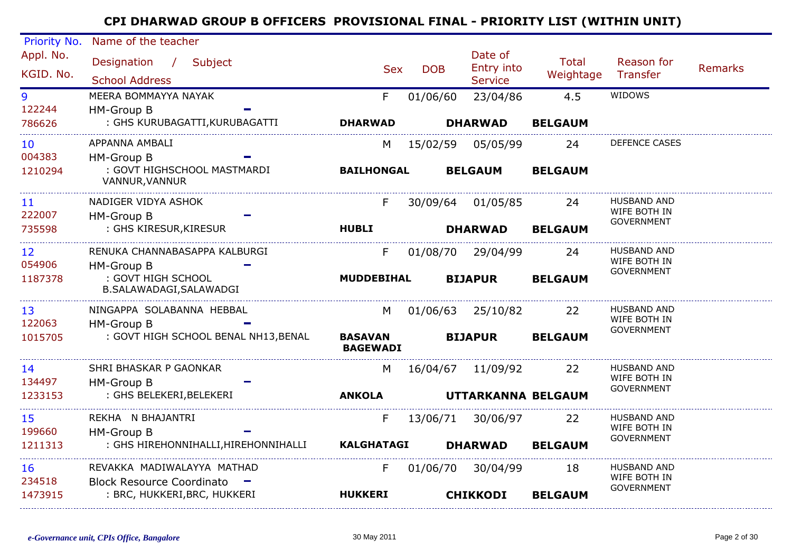| Priority No.    | Name of the teacher                                       |                                   |            | Date of                |                |                                    |                |
|-----------------|-----------------------------------------------------------|-----------------------------------|------------|------------------------|----------------|------------------------------------|----------------|
| Appl. No.       | Designation / Subject                                     | <b>Sex</b>                        | <b>DOB</b> | Entry into             | <b>Total</b>   | Reason for                         | <b>Remarks</b> |
| KGID. No.       | <b>School Address</b>                                     |                                   |            | <b>Service</b>         | Weightage      | Transfer                           |                |
| 9               | MEERA BOMMAYYA NAYAK                                      | F                                 | 01/06/60   | 23/04/86               | 4.5            | WIDOWS                             |                |
| 122244          | HM-Group B                                                |                                   |            |                        |                |                                    |                |
| 786626          | : GHS KURUBAGATTI, KURUBAGATTI                            | <b>DHARWAD</b>                    |            | <b>DHARWAD</b>         | <b>BELGAUM</b> |                                    |                |
| 10              | APPANNA AMBALI                                            | M                                 |            | 15/02/59 05/05/99      | 24             | DEFENCE CASES                      |                |
| 004383          | HM-Group B                                                |                                   |            |                        |                |                                    |                |
| 1210294         | : GOVT HIGHSCHOOL MASTMARDI<br>VANNUR, VANNUR             | <b>BAILHONGAL</b>                 |            | <b>BELGAUM</b>         | <b>BELGAUM</b> |                                    |                |
| 11              | NADIGER VIDYA ASHOK                                       | F                                 |            | 30/09/64 01/05/85      | 24             | <b>HUSBAND AND</b>                 |                |
| 222007          | HM-Group B                                                |                                   |            |                        |                | WIFE BOTH IN<br><b>GOVERNMENT</b>  |                |
| 735598          | : GHS KIRESUR, KIRESUR                                    | <b>HUBLI</b>                      |            | <b>DHARWAD</b>         | <b>BELGAUM</b> |                                    |                |
| 12 <sup>2</sup> | RENUKA CHANNABASAPPA KALBURGI                             | F                                 |            | 01/08/70 29/04/99      | 24             | <b>HUSBAND AND</b>                 |                |
| 054906          | HM-Group B                                                |                                   |            |                        |                | WIFE BOTH IN<br><b>GOVERNMENT</b>  |                |
| 1187378         | : GOVT HIGH SCHOOL<br>B.SALAWADAGI,SALAWADGI              | <b>MUDDEBIHAL</b>                 |            | <b>BIJAPUR</b>         | <b>BELGAUM</b> |                                    |                |
| 13              | NINGAPPA SOLABANNA HEBBAL                                 |                                   |            | M 01/06/63 25/10/82 22 |                | <b>HUSBAND AND</b>                 |                |
| 122063          | HM-Group B                                                |                                   |            |                        |                | WIFE BOTH IN<br><b>GOVERNMENT</b>  |                |
| 1015705         | : GOVT HIGH SCHOOL BENAL NH13, BENAL                      | <b>BASAVAN</b><br><b>BAGEWADI</b> |            | <b>BIJAPUR</b>         | <b>BELGAUM</b> |                                    |                |
| 14              | SHRI BHASKAR P GAONKAR                                    | M                                 |            | 16/04/67  11/09/92     | 22             | <b>HUSBAND AND</b>                 |                |
| 134497          | HM-Group B                                                |                                   |            |                        |                | WIFE BOTH IN<br><b>GOVERNMENT</b>  |                |
| 1233153         | : GHS BELEKERI,BELEKERI                                   | <b>ANKOLA</b>                     |            | UTTARKANNA BELGAUM     |                |                                    |                |
| 15              | REKHA N BHAJANTRI                                         | F                                 |            | 13/06/71 30/06/97      | 22             | HUSBAND AND                        |                |
| 199660          | HM-Group B                                                |                                   |            |                        |                | WIFE BOTH IN<br><b>GOVERNMENT</b>  |                |
| 1211313         | : GHS HIREHONNIHALLI,HIREHONNIHALLI                       | <b>KALGHATAGI</b>                 |            | <b>DHARWAD</b>         | <b>BELGAUM</b> |                                    |                |
| 16<br>234518    | REVAKKA MADIWALAYYA MATHAD<br>Block Resource Coordinato - | F                                 |            | 01/06/70 30/04/99      | 18             | <b>HUSBAND AND</b><br>WIFE BOTH IN |                |
| 1473915         | : BRC, HUKKERI, BRC, HUKKERI                              | <b>HUKKERI</b>                    |            | <b>CHIKKODI</b>        | <b>BELGAUM</b> | <b>GOVERNMENT</b>                  |                |
|                 |                                                           |                                   |            |                        |                |                                    |                |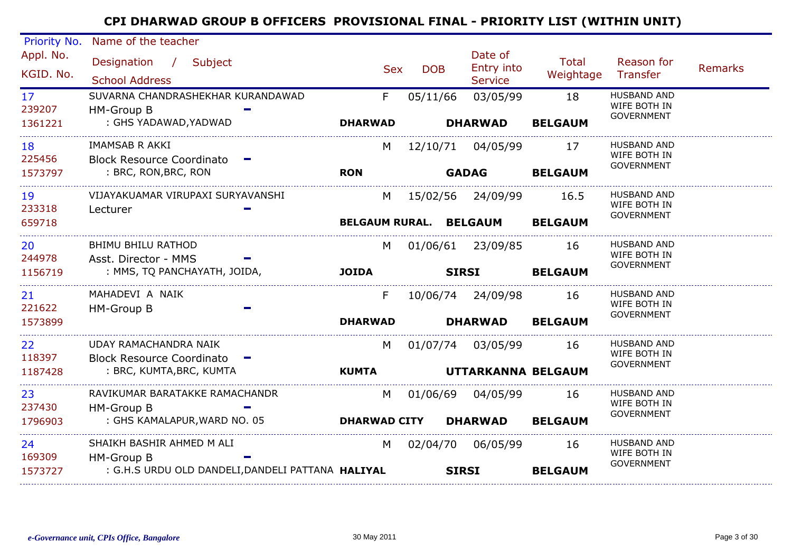| Priority No.              | Name of the teacher                                  |                        |            |                                         |                           |                                    |                |
|---------------------------|------------------------------------------------------|------------------------|------------|-----------------------------------------|---------------------------|------------------------------------|----------------|
| Appl. No.<br>KGID. No.    | Designation / Subject<br><b>School Address</b>       | <b>Sex</b>             | <b>DOB</b> | Date of<br>Entry into<br><b>Service</b> | <b>Total</b><br>Weightage | Reason for<br>Transfer             | <b>Remarks</b> |
| 17 <sup>7</sup><br>239207 | SUVARNA CHANDRASHEKHAR KURANDAWAD<br>HM-Group B      | F                      | 05/11/66   | 03/05/99                                | 18                        | <b>HUSBAND AND</b><br>WIFE BOTH IN |                |
| 1361221                   | : GHS YADAWAD, YADWAD                                | <b>DHARWAD</b>         |            | <b>DHARWAD</b>                          | <b>BELGAUM</b>            | <b>GOVERNMENT</b>                  |                |
| 18                        | <b>IMAMSAB R AKKI</b>                                | M                      |            | 12/10/71 04/05/99                       | 17                        | <b>HUSBAND AND</b><br>WIFE BOTH IN |                |
| 225456<br>1573797         | Block Resource Coordinato -<br>: BRC, RON,BRC, RON   | <b>RON</b>             |            | <b>GADAG</b>                            | <b>BELGAUM</b>            | GOVERNMENT                         |                |
| 19<br>233318              | VIJAYAKUAMAR VIRUPAXI SURYAVANSHI<br>Lecturer        | M                      |            | 15/02/56  24/09/99                      | 16.5                      | HUSBAND AND<br>WIFE BOTH IN        |                |
| 659718                    |                                                      | BELGAUM RURAL. BELGAUM |            |                                         | <b>BELGAUM</b>            | <b>GOVERNMENT</b>                  |                |
| 20<br>244978              | BHIMU BHILU RATHOD<br>Asst. Director - MMS           | M                      |            | 01/06/61 23/09/85                       | -16                       | <b>HUSBAND AND</b><br>WIFE BOTH IN |                |
| 1156719                   | : MMS, TQ PANCHAYATH, JOIDA,                         | <b>JOIDA</b>           |            | <b>SIRSI</b>                            | <b>BELGAUM</b>            | <b>GOVERNMENT</b>                  |                |
| 21<br>221622              | MAHADEVI A NAIK<br>HM-Group B                        | F                      |            | 10/06/74  24/09/98                      | 16                        | <b>HUSBAND AND</b><br>WIFE BOTH IN |                |
| 1573899                   |                                                      | <b>DHARWAD</b>         |            | <b>DHARWAD</b>                          | <b>BELGAUM</b>            | <b>GOVERNMENT</b>                  |                |
| 22<br>118397              | UDAY RAMACHANDRA NAIK<br>Block Resource Coordinato - | M                      |            | 01/07/74 03/05/99                       | 16                        | <b>HUSBAND AND</b><br>WIFE BOTH IN |                |
| 1187428                   | : BRC, KUMTA, BRC, KUMTA                             | <b>KUMTA</b>           |            | UTTARKANNA BELGAUM                      |                           | <b>GOVERNMENT</b>                  |                |
| 23<br>237430              | RAVIKUMAR BARATAKKE RAMACHANDR<br>HM-Group B         | M                      |            | 01/06/69 04/05/99                       | 16                        | <b>HUSBAND AND</b><br>WIFE BOTH IN |                |
| 1796903                   | : GHS KAMALAPUR, WARD NO. 05                         | <b>DHARWAD CITY</b>    |            | <b>DHARWAD</b>                          | <b>BELGAUM</b>            | <b>GOVERNMENT</b>                  |                |
| 24<br>169309              | SHAIKH BASHIR AHMED M ALI<br>HM-Group B              | M                      |            |                                         | 16                        | <b>HUSBAND AND</b><br>WIFE BOTH IN |                |
| 1573727                   | : G.H.S URDU OLD DANDELI, DANDELI PATTANA HALIYAL    |                        |            | <b>SIRSI</b>                            | <b>BELGAUM</b>            | <b>GOVERNMENT</b>                  |                |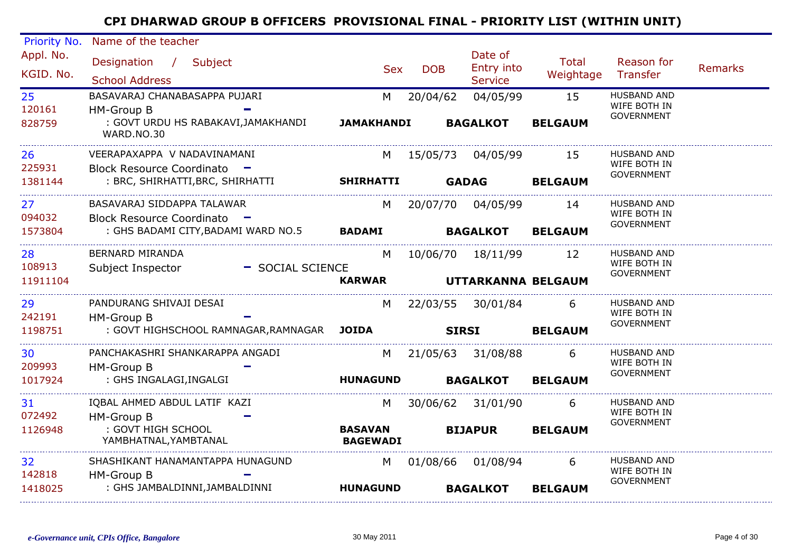| Priority No.           | Name of the teacher                                             |                                   |            |                                         |                    |                                                         |                |
|------------------------|-----------------------------------------------------------------|-----------------------------------|------------|-----------------------------------------|--------------------|---------------------------------------------------------|----------------|
| Appl. No.<br>KGID. No. | Designation / Subject<br><b>School Address</b>                  | <b>Sex</b>                        | <b>DOB</b> | Date of<br>Entry into<br><b>Service</b> | Total<br>Weightage | Reason for<br>Transfer                                  | <b>Remarks</b> |
| 25<br>120161           | BASAVARAJ CHANABASAPPA PUJARI<br>HM-Group B                     | M                                 | 20/04/62   | 04/05/99                                | 15                 | <b>HUSBAND AND</b><br>WIFE BOTH IN<br><b>GOVERNMENT</b> |                |
| 828759                 | : GOVT URDU HS RABAKAVI, JAMAKHANDI<br>WARD.NO.30               | <b>JAMAKHANDI</b>                 |            | <b>BAGALKOT</b>                         | <b>BELGAUM</b>     |                                                         |                |
| 26<br>225931           | VEERAPAXAPPA V NADAVINAMANI                                     | M                                 | 15/05/73   | 04/05/99                                | 15                 | <b>HUSBAND AND</b><br>WIFE BOTH IN                      |                |
| 1381144                | Block Resource Coordinato -<br>: BRC, SHIRHATTI, BRC, SHIRHATTI | <b>SHIRHATTI</b>                  |            | <b>GADAG</b>                            | <b>BELGAUM</b>     | <b>GOVERNMENT</b>                                       |                |
| 27<br>094032           | BASAVARAJ SIDDAPPA TALAWAR<br><b>Block Resource Coordinato</b>  | M                                 |            | 20/07/70 04/05/99                       | 14                 | <b>HUSBAND AND</b><br>WIFE BOTH IN                      |                |
| 1573804                | : GHS BADAMI CITY, BADAMI WARD NO.5                             | <b>BADAMI</b>                     |            | <b>BAGALKOT</b>                         | <b>BELGAUM</b>     | GOVERNMENT                                              |                |
| 28<br>108913           | <b>BERNARD MIRANDA</b>                                          | M                                 |            | 10/06/70 18/11/99                       | 12                 | <b>HUSBAND AND</b><br>WIFE BOTH IN                      |                |
| 11911104               | Subject Inspector<br>- SOCIAL SCIENCE                           | <b>KARWAR</b>                     |            | UTTARKANNA BELGAUM                      |                    | <b>GOVERNMENT</b>                                       |                |
| 29                     | PANDURANG SHIVAJI DESAI                                         | M                                 |            | 22/03/55 30/01/84                       | 6                  | <b>HUSBAND AND</b><br>WIFE BOTH IN                      |                |
| 242191<br>1198751      | HM-Group B<br>: GOVT HIGHSCHOOL RAMNAGAR, RAMNAGAR JOIDA        |                                   |            | <b>SIRSI</b>                            | <b>BELGAUM</b>     | <b>GOVERNMENT</b>                                       |                |
| 30<br>209993           | PANCHAKASHRI SHANKARAPPA ANGADI                                 | M                                 |            | 21/05/63 31/08/88                       | 6                  | <b>HUSBAND AND</b><br>WIFE BOTH IN                      |                |
| 1017924                | HM-Group B<br>: GHS INGALAGI, INGALGI                           | <b>HUNAGUND</b>                   |            | <b>BAGALKOT</b>                         | <b>BELGAUM</b>     | <b>GOVERNMENT</b>                                       |                |
| 31                     | IQBAL AHMED ABDUL LATIF KAZI                                    | M                                 |            | 30/06/62 31/01/90                       | 6                  | <b>HUSBAND AND</b><br>WIFE BOTH IN                      |                |
| 072492<br>1126948      | HM-Group B<br>: GOVT HIGH SCHOOL<br>YAMBHATNAL, YAMBTANAL       | <b>BASAVAN</b><br><b>BAGEWADI</b> |            | <b>BIJAPUR</b>                          | <b>BELGAUM</b>     | <b>GOVERNMENT</b>                                       |                |
| 32<br>142818           | SHASHIKANT HANAMANTAPPA HUNAGUND<br>HM-Group B                  | M                                 |            | 01/08/66 01/08/94                       | 6                  | <b>HUSBAND AND</b><br>WIFE BOTH IN                      |                |
| 1418025                | : GHS JAMBALDINNI, JAMBALDINNI                                  | <b>HUNAGUND</b>                   |            | <b>BAGALKOT</b>                         | <b>BELGAUM</b>     | <b>GOVERNMENT</b>                                       |                |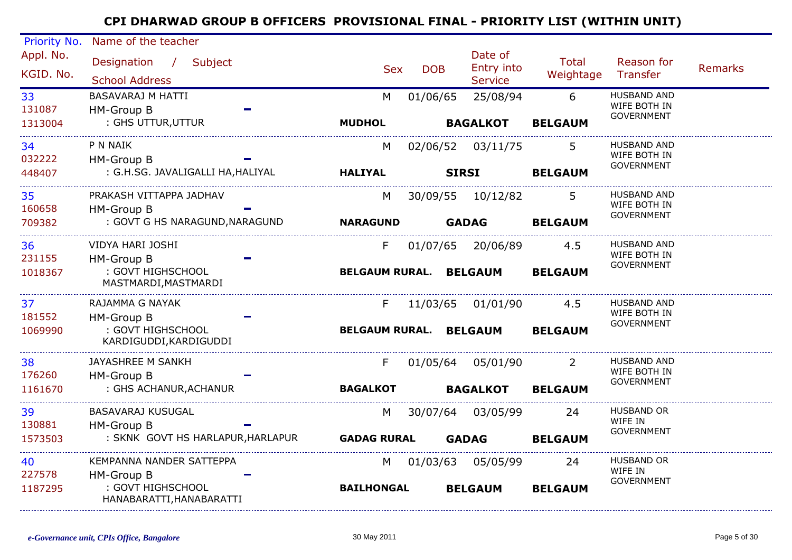| Priority No.           | Name of the teacher                                              |                               |            |              |                                         |                           |                                                         |                |
|------------------------|------------------------------------------------------------------|-------------------------------|------------|--------------|-----------------------------------------|---------------------------|---------------------------------------------------------|----------------|
| Appl. No.<br>KGID, No. | Designation<br>Subject<br>$\mathcal{L}$<br><b>School Address</b> | <b>Sex</b>                    | <b>DOB</b> |              | Date of<br>Entry into<br><b>Service</b> | <b>Total</b><br>Weightage | Reason for<br>Transfer                                  | <b>Remarks</b> |
| 33<br>131087           | <b>BASAVARAJ M HATTI</b><br><b>HM-Group B</b>                    | M                             | 01/06/65   |              | 25/08/94                                | 6                         | <b>HUSBAND AND</b><br>WIFE BOTH IN<br><b>GOVERNMENT</b> |                |
| 1313004                | : GHS UTTUR, UTTUR                                               | <b>MUDHOL</b>                 |            |              | <b>BAGALKOT</b>                         | <b>BELGAUM</b>            |                                                         |                |
| 34<br>032222           | P N NAIK<br>HM-Group B                                           | M                             |            |              | 02/06/52 03/11/75                       | 5                         | <b>HUSBAND AND</b><br>WIFE BOTH IN                      |                |
| 448407                 | : G.H.SG. JAVALIGALLI HA, HALIYAL                                | <b>HALIYAL</b>                |            | <b>SIRSI</b> |                                         | <b>BELGAUM</b>            | <b>GOVERNMENT</b>                                       |                |
| 35<br>160658           | PRAKASH VITTAPPA JADHAV<br>HM-Group B                            | M                             |            |              | 30/09/55 10/12/82                       | 5.                        | HUSBAND AND<br>WIFE BOTH IN                             |                |
| 709382                 | : GOVT G HS NARAGUND, NARAGUND                                   | <b>NARAGUND</b>               |            |              | <b>GADAG</b>                            | <b>BELGAUM</b>            | <b>GOVERNMENT</b>                                       |                |
| 36<br>231155           | VIDYA HARI JOSHI<br>HM-Group B                                   | F.                            |            |              | 01/07/65 20/06/89                       | 4.5                       | <b>HUSBAND AND</b><br>WIFE BOTH IN                      |                |
| 1018367                | : GOVT HIGHSCHOOL<br>MASTMARDI, MASTMARDI                        | BELGAUM RURAL. BELGAUM        |            |              |                                         | <b>BELGAUM</b>            | <b>GOVERNMENT</b>                                       |                |
| 37<br>181552           | RAJAMMA G NAYAK<br>HM-Group B                                    | F.                            | 11/03/65   |              | 01/01/90                                | 4.5                       | HUSBAND AND<br>WIFE BOTH IN<br><b>GOVERNMENT</b>        |                |
| 1069990                | : GOVT HIGHSCHOOL<br>KARDIGUDDI, KARDIGUDDI                      | <b>BELGAUM RURAL. BELGAUM</b> |            |              |                                         | <b>BELGAUM</b>            |                                                         |                |
| 38<br>176260           | JAYASHREE M SANKH<br>HM-Group B                                  | F.                            |            |              | 01/05/64 05/01/90                       | <sup>2</sup>              | <b>HUSBAND AND</b><br>WIFE BOTH IN                      |                |
| 1161670                | : GHS ACHANUR, ACHANUR                                           | <b>BAGALKOT</b>               |            |              | <b>BAGALKOT</b>                         | <b>BELGAUM</b>            | <b>GOVERNMENT</b>                                       |                |
| 39<br>130881           | <b>BASAVARAJ KUSUGAL</b><br>HM-Group B                           | M                             | 30/07/64   |              | 03/05/99                                | 24                        | <b>HUSBAND OR</b><br>WIFE IN                            |                |
| 1573503                | : SKNK GOVT HS HARLAPUR, HARLAPUR                                | <b>GADAG RURAL</b>            |            |              | <b>GADAG</b>                            | <b>BELGAUM</b>            | <b>GOVERNMENT</b>                                       |                |
| 40                     | KEMPANNA NANDER SATTEPPA                                         | M                             | 01/03/63   |              | 05/05/99                                | 24                        | <b>HUSBAND OR</b><br>WIFE IN                            |                |
| 227578<br>1187295      | HM-Group B<br>: GOVT HIGHSCHOOL<br>HANABARATTI, HANABARATTI      | <b>BAILHONGAL</b>             |            |              | <b>BELGAUM</b>                          | <b>BELGAUM</b>            | <b>GOVERNMENT</b>                                       |                |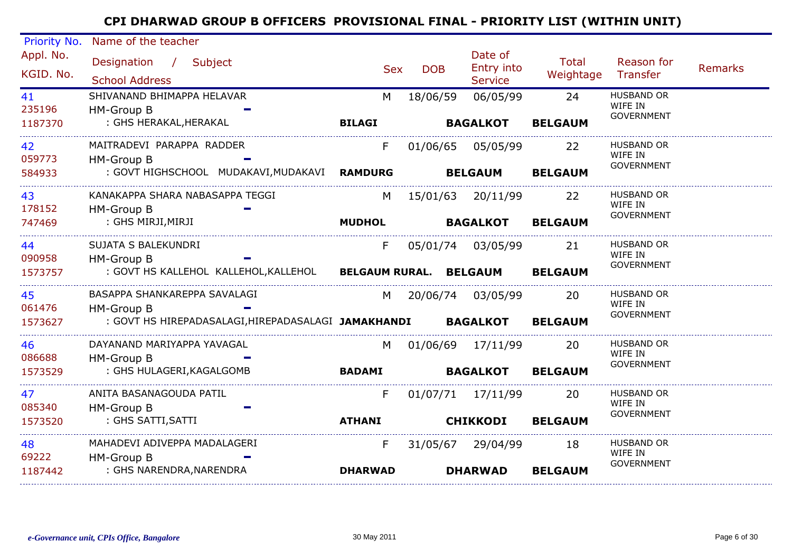| Priority No.           | Name of the teacher                                                                       |                |                     |                                         |                           |                                                   |                |
|------------------------|-------------------------------------------------------------------------------------------|----------------|---------------------|-----------------------------------------|---------------------------|---------------------------------------------------|----------------|
| Appl. No.<br>KGID. No. | Designation / Subject<br><b>School Address</b>                                            | Sex            | <b>DOB</b>          | Date of<br>Entry into<br><b>Service</b> | <b>Total</b><br>Weightage | Reason for<br>Transfer                            | <b>Remarks</b> |
| 41<br>235196           | SHIVANAND BHIMAPPA HELAVAR<br>HM-Group B                                                  | M              | 18/06/59            | 06/05/99                                | 24                        | <b>HUSBAND OR</b><br>WIFE IN<br><b>GOVERNMENT</b> |                |
| 1187370                | : GHS HERAKAL, HERAKAL                                                                    | <b>BILAGI</b>  |                     | <b>BAGALKOT</b>                         | <b>BELGAUM</b>            |                                                   |                |
| 42<br>059773           | MAITRADEVI PARAPPA RADDER<br>HM-Group B                                                   | F              |                     | 01/06/65 05/05/99                       | 22                        | <b>HUSBAND OR</b><br>WIFE IN                      |                |
| 584933                 | : GOVT HIGHSCHOOL MUDAKAVI, MUDAKAVI RAMDURG                                              |                | <b>BELGAUM</b>      |                                         | <b>BELGAUM</b>            | <b>GOVERNMENT</b>                                 |                |
| 43<br>178152           | KANAKAPPA SHARA NABASAPPA TEGGI<br>HM-Group B                                             | M l            |                     | 15/01/63 20/11/99                       | 22                        | <b>HUSBAND OR</b><br>WIFE IN                      |                |
| 747469                 | : GHS MIRJI,MIRJI                                                                         | <b>MUDHOL</b>  |                     | <b>BAGALKOT</b>                         | <b>BELGAUM</b>            | <b>GOVERNMENT</b>                                 |                |
| 44<br>090958           | SUJATA S BALEKUNDRI<br><b>HM-Group B</b>                                                  | F              |                     |                                         | 21                        | <b>HUSBAND OR</b><br>WIFE IN                      |                |
| 1573757                | : GOVT HS KALLEHOL KALLEHOL, KALLEHOL BELGAUM RURAL. BELGAUM BELGAUM                      |                |                     |                                         |                           | <b>GOVERNMENT</b>                                 |                |
| 45                     | BASAPPA SHANKAREPPA SAVALAGI                                                              |                | M 20/06/74 03/05/99 |                                         | 20                        | <b>HUSBAND OR</b><br>WIFE IN                      |                |
| 061476<br>1573627      | <b>HM-Group B</b><br>: GOVT HS HIREPADASALAGI, HIREPADASALAGI JAMAKHANDI BAGALKOT BELGAUM |                |                     |                                         |                           | <b>GOVERNMENT</b>                                 |                |
| 46<br>086688           | DAYANAND MARIYAPPA YAVAGAL<br>HM-Group B                                                  |                | M 01/06/69 17/11/99 |                                         | <b>20</b>                 | <b>HUSBAND OR</b><br>WIFE IN                      |                |
| 1573529                | : GHS HULAGERI, KAGALGOMB                                                                 | <b>BADAMI</b>  |                     | <b>BAGALKOT</b>                         | <b>BELGAUM</b>            | <b>GOVERNMENT</b>                                 |                |
| 47                     | ANITA BASANAGOUDA PATIL                                                                   | F.             |                     | 01/07/71 17/11/99                       | <b>20</b>                 | <b>HUSBAND OR</b><br>WIFE IN                      |                |
| 085340<br>1573520      | HM-Group B<br>: GHS SATTI,SATTI                                                           | <b>ATHANI</b>  |                     | <b>CHIKKODI</b>                         | <b>BELGAUM</b>            | <b>GOVERNMENT</b>                                 |                |
| 48                     | MAHADEVI ADIVEPPA MADALAGERI                                                              | F              |                     | 31/05/67 29/04/99                       | 18                        | <b>HUSBAND OR</b><br>WIFE IN                      |                |
| 69222<br>1187442       | HM-Group B<br>: GHS NARENDRA,NARENDRA                                                     | <b>DHARWAD</b> |                     | <b>DHARWAD</b>                          | <b>BELGAUM</b>            | <b>GOVERNMENT</b>                                 |                |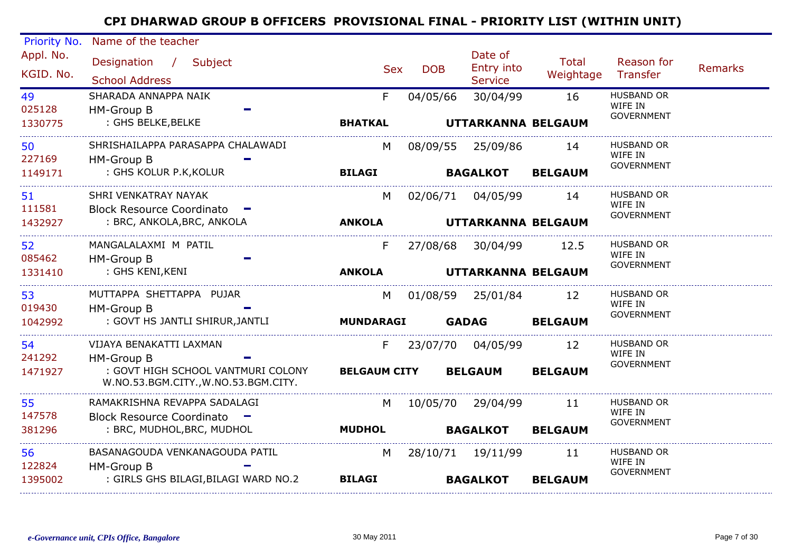| Priority No.           | Name of the teacher                                                        |                             |            |                                         |                    |                                                   |                |
|------------------------|----------------------------------------------------------------------------|-----------------------------|------------|-----------------------------------------|--------------------|---------------------------------------------------|----------------|
| Appl. No.<br>KGID. No. | Designation / Subject<br><b>School Address</b>                             | <b>Sex</b>                  | <b>DOB</b> | Date of<br>Entry into<br><b>Service</b> | Total<br>Weightage | Reason for<br>Transfer                            | <b>Remarks</b> |
| 49<br>025128           | SHARADA ANNAPPA NAIK<br>HM-Group B<br>: GHS BELKE, BELKE                   | F<br><b>BHATKAL</b>         | 04/05/66   | 30/04/99                                | 16                 | <b>HUSBAND OR</b><br>WIFE IN<br><b>GOVERNMENT</b> |                |
| 1330775                |                                                                            |                             |            | UTTARKANNA BELGAUM                      |                    |                                                   |                |
| 50<br>227169           | SHRISHAILAPPA PARASAPPA CHALAWADI<br>HM-Group B                            | M                           |            | 08/09/55 25/09/86                       | 14                 | <b>HUSBAND OR</b><br>WIFE IN                      |                |
| 1149171                | : GHS KOLUR P.K, KOLUR                                                     | <b>BILAGI</b>               |            | <b>BAGALKOT</b>                         | <b>BELGAUM</b>     | <b>GOVERNMENT</b>                                 |                |
| 51<br>111581           | SHRI VENKATRAY NAYAK<br>Block Resource Coordinato -                        | M                           |            | 02/06/71 04/05/99                       | - 14               | HUSBAND OR<br>WIFE IN                             |                |
| 1432927                | : BRC, ANKOLA, BRC, ANKOLA                                                 | <b>ANKOLA</b>               |            | UTTARKANNA BELGAUM                      |                    | <b>GOVERNMENT</b>                                 |                |
| 52<br>085462           | MANGALALAXMI M PATIL<br><b>HM-Group B</b>                                  | F                           |            | 27/08/68 30/04/99                       | 12.5               | <b>HUSBAND OR</b><br>WIFE IN                      |                |
| 1331410                | : GHS KENI,KENI                                                            | <b>ANKOLA</b>               |            | UTTARKANNA BELGAUM                      |                    | <b>GOVERNMENT</b>                                 |                |
| 53<br>019430           | MUTTAPPA SHETTAPPA PUJAR<br>HM-Group B                                     | M                           |            | 01/08/59 25/01/84                       | 12                 | <b>HUSBAND OR</b><br>WIFE IN                      |                |
| 1042992                | : GOVT HS JANTLI SHIRUR, JANTLI                                            | <b>MUNDARAGI</b>            |            | <b>GADAG</b>                            | <b>BELGAUM</b>     | <b>GOVERNMENT</b>                                 |                |
| 54<br>241292           | VIJAYA BENAKATTI LAXMAN<br>HM-Group B                                      | F.                          |            | 23/07/70 04/05/99                       | 12                 | <b>HUSBAND OR</b><br>WIFE IN                      |                |
| 1471927                | : GOVT HIGH SCHOOL VANTMURI COLONY<br>W.NO.53.BGM.CITY., W.NO.53.BGM.CITY. | <b>BELGAUM CITY BELGAUM</b> |            |                                         | <b>BELGAUM</b>     | <b>GOVERNMENT</b>                                 |                |
| 55<br>147578           | RAMAKRISHNA REVAPPA SADALAGI<br>Block Resource Coordinato -                | M                           |            | 10/05/70 29/04/99                       | 11                 | <b>HUSBAND OR</b><br>WIFE IN                      |                |
| 381296                 | : BRC, MUDHOL, BRC, MUDHOL                                                 | <b>MUDHOL</b>               |            | <b>BAGALKOT</b>                         | <b>BELGAUM</b>     | <b>GOVERNMENT</b>                                 |                |
| 56<br>122824           | BASANAGOUDA VENKANAGOUDA PATIL<br>HM-Group B                               | M l                         |            | 28/10/71 19/11/99                       | -11                | <b>HUSBAND OR</b><br>WIFE IN                      |                |
| 1395002                | : GIRLS GHS BILAGI, BILAGI WARD NO.2                                       | <b>BILAGI</b>               |            | <b>BAGALKOT</b>                         | <b>BELGAUM</b>     | <b>GOVERNMENT</b>                                 |                |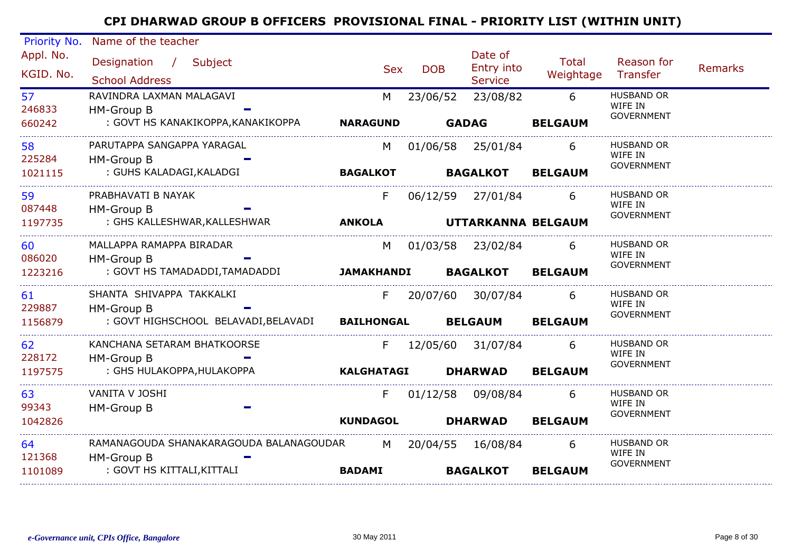| Priority No.           | Name of the teacher                                         |                   |            |                                         |                           |                              |         |
|------------------------|-------------------------------------------------------------|-------------------|------------|-----------------------------------------|---------------------------|------------------------------|---------|
| Appl. No.<br>KGID. No. | Designation / Subject<br><b>School Address</b>              | <b>Sex</b>        | <b>DOB</b> | Date of<br>Entry into<br><b>Service</b> | <b>Total</b><br>Weightage | Reason for<br>Transfer       | Remarks |
| 57                     | RAVINDRA LAXMAN MALAGAVI                                    | M                 | 23/06/52   | 23/08/82                                | 6                         | <b>HUSBAND OR</b>            |         |
| 246833                 | HM-Group B                                                  |                   |            |                                         |                           | WIFE IN                      |         |
| 660242                 | : GOVT HS KANAKIKOPPA,KANAKIKOPPA                           | <b>NARAGUND</b>   |            | <b>GADAG</b>                            | <b>BELGAUM</b>            | <b>GOVERNMENT</b>            |         |
| 58                     | PARUTAPPA SANGAPPA YARAGAL                                  | M                 |            | 01/06/58 25/01/84                       | 6                         | <b>HUSBAND OR</b>            |         |
| 225284                 | HM-Group B                                                  |                   |            |                                         |                           | WIFE IN<br><b>GOVERNMENT</b> |         |
| 1021115                | : GUHS KALADAGI,KALADGI                                     | <b>BAGALKOT</b>   |            | <b>BAGALKOT</b>                         | <b>BELGAUM</b>            |                              |         |
| 59                     | PRABHAVATI B NAYAK                                          | F                 |            | 06/12/59 27/01/84                       | 6                         | <b>HUSBAND OR</b>            |         |
| 087448                 | HM-Group B                                                  |                   |            |                                         |                           | WIFE IN<br><b>GOVERNMENT</b> |         |
| 1197735                | : GHS KALLESHWAR,KALLESHWAR                                 | <b>ANKOLA</b>     |            | UTTARKANNA BELGAUM                      |                           |                              |         |
| 60                     | MALLAPPA RAMAPPA BIRADAR                                    | M                 |            | 01/03/58 23/02/84                       | 6                         | <b>HUSBAND OR</b>            |         |
| 086020                 | HM-Group B                                                  |                   |            |                                         |                           | WIFE IN<br><b>GOVERNMENT</b> |         |
| 1223216                | : GOVT HS TAMADADDI, TAMADADDI                              | <b>JAMAKHANDI</b> |            | <b>BAGALKOT</b>                         | <b>BELGAUM</b>            |                              |         |
| 61                     | SHANTA SHIVAPPA TAKKALKI                                    |                   |            | F 20/07/60 30/07/84                     | 6                         | <b>HUSBAND OR</b>            |         |
| 229887                 | HM-Group B                                                  |                   |            |                                         |                           | WIFE IN<br><b>GOVERNMENT</b> |         |
| 1156879                | : GOVT HIGHSCHOOL BELAVADI, BELAVADI BAILHONGAL BELGAUM     |                   |            |                                         | <b>BELGAUM</b>            |                              |         |
| 62                     | KANCHANA SETARAM BHATKOORSE                                 |                   |            | F 12/05/60 31/07/84                     | 6                         | <b>HUSBAND OR</b>            |         |
| 228172                 | HM-Group B                                                  |                   |            |                                         |                           | WIFE IN<br><b>GOVERNMENT</b> |         |
| 1197575                | : GHS HULAKOPPA, HULAKOPPA                                  | <b>KALGHATAGI</b> |            | <b>DHARWAD</b>                          | <b>BELGAUM</b>            |                              |         |
| 63                     | VANITA V JOSHI                                              | F.                |            | 01/12/58 09/08/84                       | 6                         | <b>HUSBAND OR</b>            |         |
| 99343                  | HM-Group B                                                  |                   |            |                                         |                           | WIFE IN<br><b>GOVERNMENT</b> |         |
| 1042826                |                                                             | <b>KUNDAGOL</b>   |            | <b>DHARWAD</b>                          | <b>BELGAUM</b>            |                              |         |
| 64                     | RAMANAGOUDA SHANAKARAGOUDA BALANAGOUDAR M 20/04/55 16/08/84 |                   |            |                                         | 6                         | <b>HUSBAND OR</b>            |         |
| 121368                 | HM-Group B                                                  |                   |            |                                         |                           | WIFE IN<br><b>GOVERNMENT</b> |         |
| 1101089                | : GOVT HS KITTALI, KITTALI                                  | <b>BADAMI</b>     |            | <b>BAGALKOT</b>                         | <b>BELGAUM</b>            |                              |         |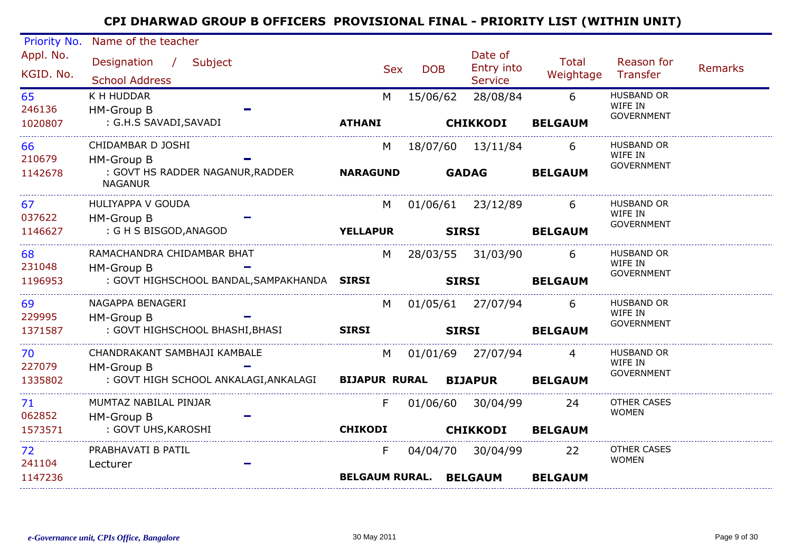| Appl. No.<br>Date of<br>Designation / Subject<br>Total<br>Reason for<br>Entry into<br><b>DOB</b><br><b>Sex</b><br>KGID. No.<br>Weightage<br>Transfer<br><b>School Address</b><br><b>Service</b><br>K H HUDDAR<br><b>HUSBAND OR</b><br>65<br>28/08/84<br>6<br>15/06/62<br>M<br>WIFE IN<br>246136<br>HM-Group B<br><b>GOVERNMENT</b><br>: G.H.S SAVADI, SAVADI<br><b>ATHANI</b><br><b>CHIKKODI</b><br><b>BELGAUM</b><br>1020807<br><b>HUSBAND OR</b><br>66<br>CHIDAMBAR D JOSHI<br>18/07/60  13/11/84<br>6<br>M<br>WIFE IN<br>210679<br>HM-Group B<br><b>GOVERNMENT</b><br>: GOVT HS RADDER NAGANUR, RADDER<br><b>NARAGUND</b><br><b>GADAG</b><br>1142678<br><b>BELGAUM</b><br><b>NAGANUR</b><br>HULIYAPPA V GOUDA<br>HUSBAND OR<br>67<br>01/06/61 23/12/89<br>6<br>M<br>WIFE IN<br>037622<br>HM-Group B<br><b>GOVERNMENT</b><br>: G H S BISGOD,ANAGOD<br><b>YELLAPUR</b><br><b>SIRSI</b><br>1146627<br><b>BELGAUM</b><br>RAMACHANDRA CHIDAMBAR BHAT<br>HUSBAND OR<br>68<br>M<br>28/03/55 31/03/90<br>6<br>WIFE IN<br>231048<br>HM-Group B<br><b>GOVERNMENT</b><br>: GOVT HIGHSCHOOL BANDAL, SAMPAKHANDA SIRSI<br><b>SIRSI</b><br>1196953<br><b>BELGAUM</b><br>NAGAPPA BENAGERI<br>HUSBAND OR<br>69<br>01/05/61 27/07/94<br>M<br>6<br>WIFE IN<br>229995<br><b>HM-Group B</b><br><b>GOVERNMENT</b><br>: GOVT HIGHSCHOOL BHASHI, BHASI SIRSI<br>1371587<br><b>SIRSI</b><br><b>BELGAUM</b><br>CHANDRAKANT SAMBHAJI KAMBALE<br>HUSBAND OR<br>70<br>M<br>01/01/69 27/07/94<br>4<br>WIFE IN<br>227079<br>HM-Group B<br><b>GOVERNMENT</b><br>: GOVT HIGH SCHOOL ANKALAGI,ANKALAGI BIJAPUR RURAL BIJAPUR<br>1335802<br><b>BELGAUM</b><br><b>OTHER CASES</b><br>71<br>MUMTAZ NABILAL PINJAR<br>01/06/60 30/04/99<br>F.<br>24<br><b>WOMEN</b><br>062852<br><b>HM-Group B</b><br>: GOVT UHS, KAROSHI<br><b>CHIKODI</b><br>1573571<br><b>CHIKKODI</b><br><b>BELGAUM</b><br><b>OTHER CASES</b><br>72<br>PRABHAVATI B PATIL<br>04/04/70 30/04/99<br>F.<br>22<br><b>WOMEN</b> | Priority No. | Name of the teacher |  |  |  |                |
|--------------------------------------------------------------------------------------------------------------------------------------------------------------------------------------------------------------------------------------------------------------------------------------------------------------------------------------------------------------------------------------------------------------------------------------------------------------------------------------------------------------------------------------------------------------------------------------------------------------------------------------------------------------------------------------------------------------------------------------------------------------------------------------------------------------------------------------------------------------------------------------------------------------------------------------------------------------------------------------------------------------------------------------------------------------------------------------------------------------------------------------------------------------------------------------------------------------------------------------------------------------------------------------------------------------------------------------------------------------------------------------------------------------------------------------------------------------------------------------------------------------------------------------------------------------------------------------------------------------------------------------------------------------------------------------------------------------------------------------------------------------------------------------------------------------------------------------------------------------------------------------------------------------------------------------------------------------|--------------|---------------------|--|--|--|----------------|
|                                                                                                                                                                                                                                                                                                                                                                                                                                                                                                                                                                                                                                                                                                                                                                                                                                                                                                                                                                                                                                                                                                                                                                                                                                                                                                                                                                                                                                                                                                                                                                                                                                                                                                                                                                                                                                                                                                                                                              |              |                     |  |  |  | <b>Remarks</b> |
|                                                                                                                                                                                                                                                                                                                                                                                                                                                                                                                                                                                                                                                                                                                                                                                                                                                                                                                                                                                                                                                                                                                                                                                                                                                                                                                                                                                                                                                                                                                                                                                                                                                                                                                                                                                                                                                                                                                                                              |              |                     |  |  |  |                |
|                                                                                                                                                                                                                                                                                                                                                                                                                                                                                                                                                                                                                                                                                                                                                                                                                                                                                                                                                                                                                                                                                                                                                                                                                                                                                                                                                                                                                                                                                                                                                                                                                                                                                                                                                                                                                                                                                                                                                              |              |                     |  |  |  |                |
|                                                                                                                                                                                                                                                                                                                                                                                                                                                                                                                                                                                                                                                                                                                                                                                                                                                                                                                                                                                                                                                                                                                                                                                                                                                                                                                                                                                                                                                                                                                                                                                                                                                                                                                                                                                                                                                                                                                                                              |              |                     |  |  |  |                |
|                                                                                                                                                                                                                                                                                                                                                                                                                                                                                                                                                                                                                                                                                                                                                                                                                                                                                                                                                                                                                                                                                                                                                                                                                                                                                                                                                                                                                                                                                                                                                                                                                                                                                                                                                                                                                                                                                                                                                              |              |                     |  |  |  |                |
|                                                                                                                                                                                                                                                                                                                                                                                                                                                                                                                                                                                                                                                                                                                                                                                                                                                                                                                                                                                                                                                                                                                                                                                                                                                                                                                                                                                                                                                                                                                                                                                                                                                                                                                                                                                                                                                                                                                                                              |              |                     |  |  |  |                |
|                                                                                                                                                                                                                                                                                                                                                                                                                                                                                                                                                                                                                                                                                                                                                                                                                                                                                                                                                                                                                                                                                                                                                                                                                                                                                                                                                                                                                                                                                                                                                                                                                                                                                                                                                                                                                                                                                                                                                              |              |                     |  |  |  |                |
|                                                                                                                                                                                                                                                                                                                                                                                                                                                                                                                                                                                                                                                                                                                                                                                                                                                                                                                                                                                                                                                                                                                                                                                                                                                                                                                                                                                                                                                                                                                                                                                                                                                                                                                                                                                                                                                                                                                                                              |              |                     |  |  |  |                |
|                                                                                                                                                                                                                                                                                                                                                                                                                                                                                                                                                                                                                                                                                                                                                                                                                                                                                                                                                                                                                                                                                                                                                                                                                                                                                                                                                                                                                                                                                                                                                                                                                                                                                                                                                                                                                                                                                                                                                              |              |                     |  |  |  |                |
|                                                                                                                                                                                                                                                                                                                                                                                                                                                                                                                                                                                                                                                                                                                                                                                                                                                                                                                                                                                                                                                                                                                                                                                                                                                                                                                                                                                                                                                                                                                                                                                                                                                                                                                                                                                                                                                                                                                                                              |              |                     |  |  |  |                |
|                                                                                                                                                                                                                                                                                                                                                                                                                                                                                                                                                                                                                                                                                                                                                                                                                                                                                                                                                                                                                                                                                                                                                                                                                                                                                                                                                                                                                                                                                                                                                                                                                                                                                                                                                                                                                                                                                                                                                              |              |                     |  |  |  |                |
|                                                                                                                                                                                                                                                                                                                                                                                                                                                                                                                                                                                                                                                                                                                                                                                                                                                                                                                                                                                                                                                                                                                                                                                                                                                                                                                                                                                                                                                                                                                                                                                                                                                                                                                                                                                                                                                                                                                                                              |              |                     |  |  |  |                |
|                                                                                                                                                                                                                                                                                                                                                                                                                                                                                                                                                                                                                                                                                                                                                                                                                                                                                                                                                                                                                                                                                                                                                                                                                                                                                                                                                                                                                                                                                                                                                                                                                                                                                                                                                                                                                                                                                                                                                              |              |                     |  |  |  |                |
|                                                                                                                                                                                                                                                                                                                                                                                                                                                                                                                                                                                                                                                                                                                                                                                                                                                                                                                                                                                                                                                                                                                                                                                                                                                                                                                                                                                                                                                                                                                                                                                                                                                                                                                                                                                                                                                                                                                                                              |              |                     |  |  |  |                |
|                                                                                                                                                                                                                                                                                                                                                                                                                                                                                                                                                                                                                                                                                                                                                                                                                                                                                                                                                                                                                                                                                                                                                                                                                                                                                                                                                                                                                                                                                                                                                                                                                                                                                                                                                                                                                                                                                                                                                              |              |                     |  |  |  |                |
|                                                                                                                                                                                                                                                                                                                                                                                                                                                                                                                                                                                                                                                                                                                                                                                                                                                                                                                                                                                                                                                                                                                                                                                                                                                                                                                                                                                                                                                                                                                                                                                                                                                                                                                                                                                                                                                                                                                                                              | 241104       | Lecturer            |  |  |  |                |
| 1147236<br><b>BELGAUM RURAL. BELGAUM</b><br><b>BELGAUM</b>                                                                                                                                                                                                                                                                                                                                                                                                                                                                                                                                                                                                                                                                                                                                                                                                                                                                                                                                                                                                                                                                                                                                                                                                                                                                                                                                                                                                                                                                                                                                                                                                                                                                                                                                                                                                                                                                                                   |              |                     |  |  |  |                |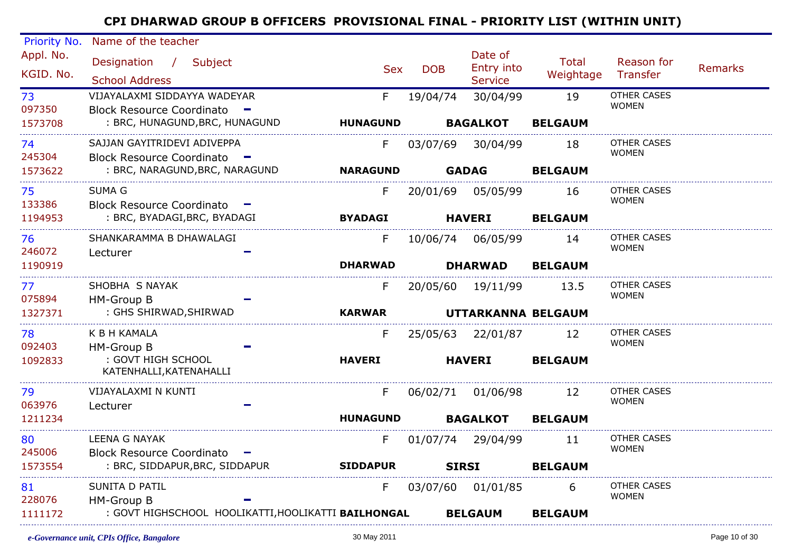| Priority No. | Name of the teacher                                           |                 |            |                    |                |                                    |                |
|--------------|---------------------------------------------------------------|-----------------|------------|--------------------|----------------|------------------------------------|----------------|
| Appl. No.    | Designation / Subject                                         |                 |            | Date of            | <b>Total</b>   | Reason for                         |                |
| KGID. No.    |                                                               | <b>Sex</b>      | <b>DOB</b> | Entry into         | Weightage      | Transfer                           | <b>Remarks</b> |
|              | <b>School Address</b>                                         |                 |            | <b>Service</b>     |                | <b>OTHER CASES</b>                 |                |
| 73<br>097350 | VIJAYALAXMI SIDDAYYA WADEYAR                                  | F.              | 19/04/74   | 30/04/99           | 19             | <b>WOMEN</b>                       |                |
| 1573708      | Block Resource Coordinato -<br>: BRC, HUNAGUND, BRC, HUNAGUND | <b>HUNAGUND</b> |            | <b>BAGALKOT</b>    | <b>BELGAUM</b> |                                    |                |
|              |                                                               |                 |            |                    |                |                                    |                |
| 74           | SAJJAN GAYITRIDEVI ADIVEPPA                                   | F.              | 03/07/69   | 30/04/99           | 18             | <b>OTHER CASES</b><br><b>WOMEN</b> |                |
| 245304       | Block Resource Coordinato -                                   |                 |            |                    |                |                                    |                |
| 1573622      | : BRC, NARAGUND, BRC, NARAGUND                                | <b>NARAGUND</b> |            | <b>GADAG</b>       | <b>BELGAUM</b> |                                    |                |
| 75           | <b>SUMA G</b>                                                 | F.              |            | 20/01/69 05/05/99  | 16             | OTHER CASES                        |                |
| 133386       | Block Resource Coordinato -                                   |                 |            |                    |                | <b>WOMEN</b>                       |                |
| 1194953      | : BRC, BYADAGI, BRC, BYADAGI                                  | <b>BYADAGI</b>  |            | <b>HAVERI</b>      | <b>BELGAUM</b> |                                    |                |
| 76           | SHANKARAMMA B DHAWALAGI                                       | F.              |            | 10/06/74 06/05/99  | 14             | OTHER CASES                        |                |
| 246072       | Lecturer                                                      |                 |            |                    |                | <b>WOMEN</b>                       |                |
| 1190919      |                                                               | <b>DHARWAD</b>  |            | <b>DHARWAD</b>     | <b>BELGAUM</b> |                                    |                |
| 77           | SHOBHA S NAYAK                                                | F.              |            | 20/05/60 19/11/99  | 13.5           | OTHER CASES                        |                |
| 075894       | HM-Group B                                                    |                 |            |                    |                | <b>WOMEN</b>                       |                |
| 1327371      | : GHS SHIRWAD, SHIRWAD                                        | <b>KARWAR</b>   |            | UTTARKANNA BELGAUM |                |                                    |                |
| 78           | K B H KAMALA                                                  | F.              |            | 25/05/63 22/01/87  | 12             | <b>OTHER CASES</b>                 |                |
| 092403       | HM-Group B                                                    |                 |            |                    |                | <b>WOMEN</b>                       |                |
| 1092833      | : GOVT HIGH SCHOOL                                            | <b>HAVERI</b>   |            | <b>HAVERI</b>      | <b>BELGAUM</b> |                                    |                |
|              | KATENHALLI, KATENAHALLI                                       |                 |            |                    |                |                                    |                |
| 79           | VIJAYALAXMI N KUNTI                                           | F.              |            | 06/02/71 01/06/98  | 12             | <b>OTHER CASES</b>                 |                |
| 063976       | Lecturer                                                      |                 |            |                    |                | <b>WOMEN</b>                       |                |
| 1211234      |                                                               | <b>HUNAGUND</b> |            | <b>BAGALKOT</b>    | <b>BELGAUM</b> |                                    |                |
| 80           | LEENA G NAYAK                                                 | F.              |            | 01/07/74 29/04/99  | 11             | OTHER CASES                        |                |
| 245006       | Block Resource Coordinato -                                   |                 |            |                    |                | <b>WOMEN</b>                       |                |
| 1573554      | : BRC, SIDDAPUR, BRC, SIDDAPUR                                | <b>SIDDAPUR</b> |            | <b>SIRSI</b>       | <b>BELGAUM</b> |                                    |                |
| 81           | SUNITA D PATIL                                                | F.              |            | 03/07/60 01/01/85  | 6              | OTHER CASES                        |                |
| 228076       | HM-Group B                                                    |                 |            |                    |                | <b>WOMEN</b>                       |                |
| 1111172      | : GOVT HIGHSCHOOL HOOLIKATTI, HOOLIKATTI BAILHONGAL           |                 |            | <b>BELGAUM</b>     | <b>BELGAUM</b> |                                    |                |
|              |                                                               |                 |            |                    |                |                                    |                |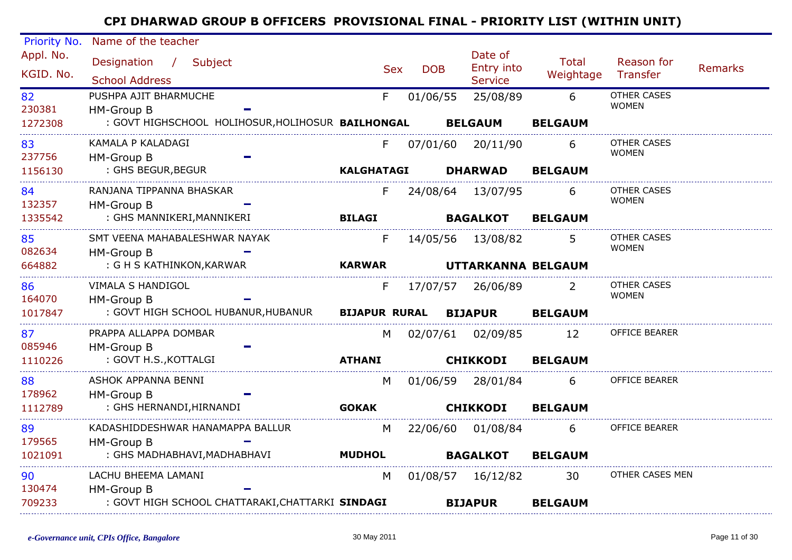| Priority No. | Name of the teacher                                       |                   |                          |                              |                |                      |         |
|--------------|-----------------------------------------------------------|-------------------|--------------------------|------------------------------|----------------|----------------------|---------|
| Appl. No.    | Designation / Subject                                     |                   |                          | Date of                      | Total          | Reason for           |         |
| KGID. No.    | <b>School Address</b>                                     |                   | <b>DOB</b><br><b>Sex</b> | Entry into<br><b>Service</b> | Weightage      | Transfer             | Remarks |
| 82           | PUSHPA AJIT BHARMUCHE                                     | F                 | 01/06/55                 | 25/08/89                     | 6              | <b>OTHER CASES</b>   |         |
| 230381       | <b>HM-Group B</b>                                         |                   |                          |                              |                | <b>WOMEN</b>         |         |
| 1272308      | : GOVT HIGHSCHOOL HOLIHOSUR, HOLIHOSUR BAILHONGAL         |                   |                          | <b>BELGAUM</b>               | <b>BELGAUM</b> |                      |         |
| 83           | KAMALA P KALADAGI                                         | F                 | 07/01/60                 | 20/11/90                     | 6              | <b>OTHER CASES</b>   |         |
| 237756       | HM-Group B                                                |                   |                          |                              |                | <b>WOMEN</b>         |         |
| 1156130      | : GHS BEGUR, BEGUR                                        | <b>KALGHATAGI</b> |                          | <b>DHARWAD</b>               | <b>BELGAUM</b> |                      |         |
| 84           | RANJANA TIPPANNA BHASKAR                                  | F.                |                          | 24/08/64 13/07/95            | 6              | OTHER CASES          |         |
| 132357       | HM-Group B                                                |                   |                          |                              |                | <b>WOMEN</b>         |         |
| 1335542      | : GHS MANNIKERI, MANNIKERI                                | <b>BILAGI</b>     |                          | <b>BAGALKOT</b>              | <b>BELGAUM</b> |                      |         |
| 85           | SMT VEENA MAHABALESHWAR NAYAK                             | F                 |                          | 14/05/56 13/08/82            | 5              | <b>OTHER CASES</b>   |         |
| 082634       | HM-Group B                                                |                   |                          |                              |                | <b>WOMEN</b>         |         |
| 664882       | : G H S KATHINKON, KARWAR                                 | <b>KARWAR</b>     |                          | UTTARKANNA BELGAUM           |                |                      |         |
| 86           | VIMALA S HANDIGOL                                         | F.                |                          | 17/07/57 26/06/89            | 2              | <b>OTHER CASES</b>   |         |
| 164070       | <b>HM-Group B</b>                                         |                   |                          |                              |                | <b>WOMEN</b>         |         |
| 1017847      | : GOVT HIGH SCHOOL HUBANUR, HUBANUR BIJAPUR RURAL BIJAPUR |                   |                          |                              | <b>BELGAUM</b> |                      |         |
| 87           | PRAPPA ALLAPPA DOMBAR                                     | M                 |                          | 02/07/61 02/09/85            | 12             | <b>OFFICE BEARER</b> |         |
| 085946       | HM-Group B                                                |                   |                          |                              |                |                      |         |
| 1110226      | : GOVT H.S., KOTTALGI                                     | <b>ATHANI</b>     |                          | <b>CHIKKODI</b>              | <b>BELGAUM</b> |                      |         |
| 88           | ASHOK APPANNA BENNI                                       | M                 |                          | 01/06/59 28/01/84            | 6              | OFFICE BEARER        |         |
| 178962       | HM-Group B                                                |                   |                          |                              |                |                      |         |
| 1112789      | : GHS HERNANDI, HIRNANDI                                  | <b>GOKAK</b>      |                          | <b>CHIKKODI</b>              | <b>BELGAUM</b> |                      |         |
| 89           | KADASHIDDESHWAR HANAMAPPA BALLUR                          | M                 |                          | 22/06/60  01/08/84           | 6              | OFFICE BEARER        |         |
| 179565       | HM-Group B                                                |                   |                          |                              |                |                      |         |
| 1021091      | : GHS MADHABHAVI, MADHABHAVI                              | <b>MUDHOL</b>     |                          | <b>BAGALKOT</b>              | <b>BELGAUM</b> |                      |         |
| 90           | LACHU BHEEMA LAMANI                                       | M                 |                          | 01/08/57 16/12/82            | 30             | OTHER CASES MEN      |         |
| 130474       | HM-Group B                                                |                   |                          |                              |                |                      |         |
| 709233       | : GOVT HIGH SCHOOL CHATTARAKI, CHATTARKI SINDAGI          |                   |                          | <b>BIJAPUR</b>               | <b>BELGAUM</b> |                      |         |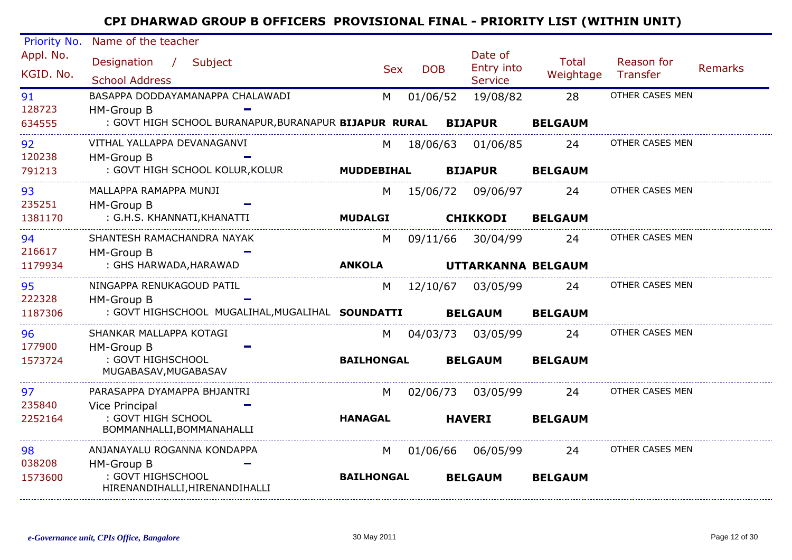| Priority No.            | Name of the teacher                                                                                             |                        |            |                                         |                      |                        |                |
|-------------------------|-----------------------------------------------------------------------------------------------------------------|------------------------|------------|-----------------------------------------|----------------------|------------------------|----------------|
| Appl. No.<br>KGID. No.  | Designation /<br>Subject<br><b>School Address</b>                                                               | <b>Sex</b>             | <b>DOB</b> | Date of<br>Entry into<br><b>Service</b> | Total<br>Weightage   | Reason for<br>Transfer | <b>Remarks</b> |
| 91<br>128723<br>634555  | BASAPPA DODDAYAMANAPPA CHALAWADI<br>HM-Group B<br>: GOVT HIGH SCHOOL BURANAPUR, BURANAPUR BIJAPUR RURAL BIJAPUR | M                      | 01/06/52   | 19/08/82                                | 28<br><b>BELGAUM</b> | OTHER CASES MEN        |                |
| 92<br>120238<br>791213  | VITHAL YALLAPPA DEVANAGANVI<br>HM-Group B<br>: GOVT HIGH SCHOOL KOLUR, KOLUR                                    | M<br><b>MUDDEBIHAL</b> | 18/06/63   | 01/06/85<br><b>BIJAPUR</b>              | 24<br><b>BELGAUM</b> | OTHER CASES MEN        |                |
| 93<br>235251<br>1381170 | MALLAPPA RAMAPPA MUNJI<br><b>HM-Group B</b><br>: G.H.S. KHANNATI, KHANATTI                                      | M<br><b>MUDALGI</b>    |            | 15/06/72 09/06/97<br><b>CHIKKODI</b>    | 24<br><b>BELGAUM</b> | OTHER CASES MEN        |                |
| 94<br>216617<br>1179934 | SHANTESH RAMACHANDRA NAYAK<br>HM-Group B<br>: GHS HARWADA, HARAWAD                                              | M<br><b>ANKOLA</b>     | 09/11/66   | 30/04/99<br>UTTARKANNA BELGAUM          | 24                   | OTHER CASES MEN        |                |
| 95<br>222328<br>1187306 | NINGAPPA RENUKAGOUD PATIL<br>HM-Group B<br>: GOVT HIGHSCHOOL MUGALIHAL, MUGALIHAL SOUNDATTI                     | M                      |            | 12/10/67 03/05/99<br><b>BELGAUM</b>     | 24<br><b>BELGAUM</b> | OTHER CASES MEN        |                |
| 96<br>177900<br>1573724 | SHANKAR MALLAPPA KOTAGI<br><b>HM-Group B</b><br>: GOVT HIGHSCHOOL<br>MUGABASAV, MUGABASAV                       | M<br><b>BAILHONGAL</b> | 04/03/73   | 03/05/99<br><b>BELGAUM</b>              | 24<br><b>BELGAUM</b> | OTHER CASES MEN        |                |
| 97<br>235840<br>2252164 | PARASAPPA DYAMAPPA BHJANTRI<br>Vice Principal<br>: GOVT HIGH SCHOOL<br>BOMMANHALLI, BOMMANAHALLI                | M<br><b>HANAGAL</b>    |            | 02/06/73 03/05/99<br><b>HAVERI</b>      | 24<br><b>BELGAUM</b> | OTHER CASES MEN        |                |
| 98<br>038208<br>1573600 | ANJANAYALU ROGANNA KONDAPPA<br>HM-Group B<br>: GOVT HIGHSCHOOL<br>HIRENANDIHALLI, HIRENANDIHALLI                | M<br><b>BAILHONGAL</b> |            | 01/06/66 06/05/99<br><b>BELGAUM</b>     | 24<br><b>BELGAUM</b> | OTHER CASES MEN        |                |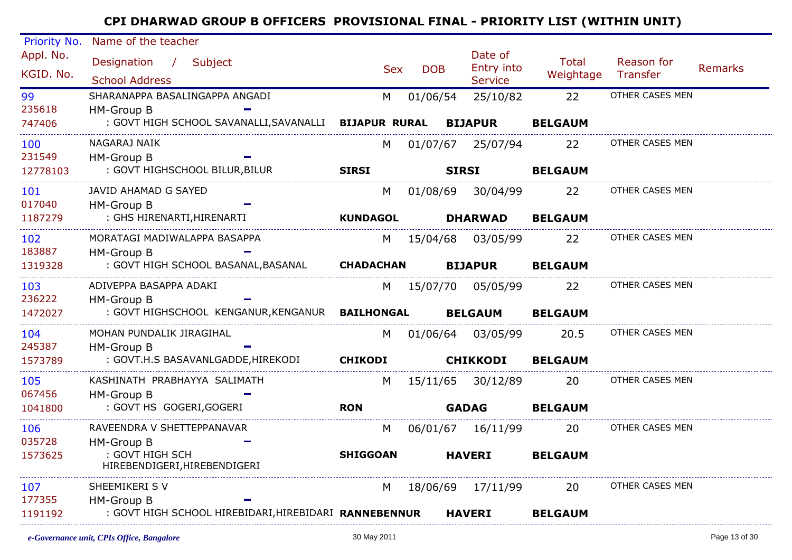| Priority No. | Name of the teacher                                           |                 |            |                       |                |                 |                |
|--------------|---------------------------------------------------------------|-----------------|------------|-----------------------|----------------|-----------------|----------------|
| Appl. No.    | Designation / Subject                                         |                 |            | Date of<br>Entry into | <b>Total</b>   | Reason for      | <b>Remarks</b> |
| KGID. No.    | <b>School Address</b>                                         | <b>Sex</b>      | <b>DOB</b> | <b>Service</b>        | Weightage      | Transfer        |                |
| 99           | SHARANAPPA BASALINGAPPA ANGADI                                | M               | 01/06/54   | 25/10/82              | 22             | OTHER CASES MEN |                |
| 235618       | <b>HM-Group B</b>                                             |                 |            |                       |                |                 |                |
| 747406       | : GOVT HIGH SCHOOL SAVANALLI, SAVANALLI BIJAPUR RURAL BIJAPUR |                 |            |                       | <b>BELGAUM</b> |                 |                |
| 100          | NAGARAJ NAIK                                                  | M               |            | 01/07/67 25/07/94     | 22             | OTHER CASES MEN |                |
| 231549       | HM-Group B                                                    |                 |            |                       |                |                 |                |
| 12778103     | : GOVT HIGHSCHOOL BILUR, BILUR                                | <b>SIRSI</b>    |            | <b>SIRSI</b>          | <b>BELGAUM</b> |                 |                |
| 101          | JAVID AHAMAD G SAYED                                          | M               |            | 01/08/69 30/04/99     | 22             | OTHER CASES MEN |                |
| 017040       | <b>HM-Group B</b>                                             |                 |            |                       |                |                 |                |
| 1187279      | : GHS HIRENARTI, HIRENARTI                                    | <b>KUNDAGOL</b> |            | <b>DHARWAD</b>        | <b>BELGAUM</b> |                 |                |
| 102          | MORATAGI MADIWALAPPA BASAPPA                                  |                 |            | M 15/04/68 03/05/99   | 22             | OTHER CASES MEN |                |
| 183887       | HM-Group B                                                    |                 |            |                       |                |                 |                |
| 1319328      | : GOVT HIGH SCHOOL BASANAL, BASANAL <b>CHADACHAN</b>          |                 |            | <b>BIJAPUR</b>        | <b>BELGAUM</b> |                 |                |
| 103          | ADIVEPPA BASAPPA ADAKI                                        |                 |            | M 15/07/70 05/05/99   | 22             | OTHER CASES MEN |                |
| 236222       | HM-Group B                                                    |                 |            |                       |                |                 |                |
| 1472027      | : GOVT HIGHSCHOOL KENGANUR, KENGANUR BAILHONGAL               |                 |            | <b>BELGAUM</b>        | <b>BELGAUM</b> |                 |                |
| 104          | MOHAN PUNDALIK JIRAGIHAL                                      |                 |            | M 01/06/64 03/05/99   | 20.5           | OTHER CASES MEN |                |
| 245387       | HM-Group B                                                    |                 |            |                       |                |                 |                |
| 1573789      | : GOVT.H.S BASAVANLGADDE,HIREKODI                             | <b>CHIKODI</b>  |            | <b>CHIKKODI</b>       | <b>BELGAUM</b> |                 |                |
| 105          | KASHINATH PRABHAYYA SALIMATH                                  | M               |            | 15/11/65 30/12/89     | 20             | OTHER CASES MEN |                |
| 067456       | HM-Group B                                                    |                 |            |                       |                |                 |                |
| 1041800      | : GOVT HS GOGERI, GOGERI                                      | <b>RON</b>      |            | <b>GADAG</b>          | <b>BELGAUM</b> |                 |                |
| 106          | RAVEENDRA V SHETTEPPANAVAR                                    | M               |            | 06/01/67  16/11/99    | <b>20</b>      | OTHER CASES MEN |                |
| 035728       | HM-Group B                                                    |                 |            |                       |                |                 |                |
| 1573625      | : GOVT HIGH SCH<br>HIREBENDIGERI, HIREBENDIGERI               | <b>SHIGGOAN</b> |            | <b>HAVERI</b>         | <b>BELGAUM</b> |                 |                |
| 107          | SHEEMIKERI S V                                                | M               |            | 18/06/69 17/11/99     | 20             | OTHER CASES MEN |                |
| 177355       | HM-Group B                                                    |                 |            |                       |                |                 |                |
| 1191192      | : GOVT HIGH SCHOOL HIREBIDARI, HIREBIDARI RANNEBENNUR         |                 |            | <b>HAVERI</b>         | <b>BELGAUM</b> |                 |                |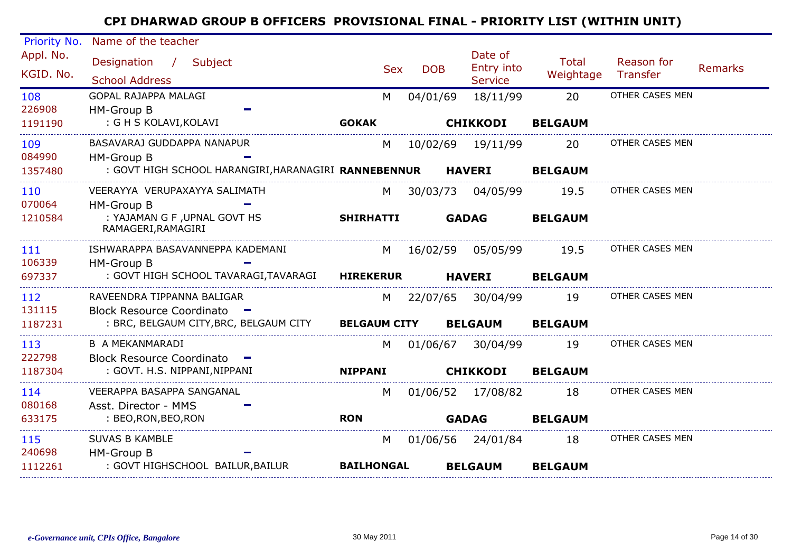| Priority No.           | Name of the teacher                                        |                     |            |                                         |                           |                        |                |
|------------------------|------------------------------------------------------------|---------------------|------------|-----------------------------------------|---------------------------|------------------------|----------------|
| Appl. No.<br>KGID. No. | Designation / Subject<br><b>School Address</b>             | <b>Sex</b>          | <b>DOB</b> | Date of<br>Entry into<br><b>Service</b> | <b>Total</b><br>Weightage | Reason for<br>Transfer | <b>Remarks</b> |
| 108<br>226908          | GOPAL RAJAPPA MALAGI<br>HM-Group B                         | M                   | 04/01/69   | 18/11/99                                | 20                        | OTHER CASES MEN        |                |
| 1191190                | : G H S KOLAVI, KOLAVI                                     | <b>GOKAK</b>        |            | <b>CHIKKODI</b>                         | <b>BELGAUM</b>            |                        |                |
| 109<br>084990          | BASAVARAJ GUDDAPPA NANAPUR<br>HM-Group B                   | M                   | 10/02/69   | 19/11/99                                | 20                        | OTHER CASES MEN        |                |
| 1357480                | : GOVT HIGH SCHOOL HARANGIRI, HARANAGIRI RANNEBENNUR       |                     |            | <b>HAVERI</b>                           | <b>BELGAUM</b>            |                        |                |
| 110<br>070064          | VEERAYYA VERUPAXAYYA SALIMATH<br>HM-Group B                | M                   | 30/03/73   | 04/05/99                                | 19.5                      | OTHER CASES MEN        |                |
| 1210584                | : YAJAMAN G F, UPNAL GOVT HS<br>RAMAGERI, RAMAGIRI         | <b>SHIRHATTI</b>    |            | <b>GADAG</b>                            | <b>BELGAUM</b>            |                        |                |
| 111<br>106339          | ISHWARAPPA BASAVANNEPPA KADEMANI<br>HM-Group B             | M                   |            | 16/02/59 05/05/99                       | 19.5                      | OTHER CASES MEN        |                |
| 697337                 | : GOVT HIGH SCHOOL TAVARAGI, TAVARAGI                      | <b>HIREKERUR</b>    |            | <b>HAVERI</b>                           | <b>BELGAUM</b>            |                        |                |
| 112<br>131115          | RAVEENDRA TIPPANNA BALIGAR<br>Block Resource Coordinato -  | M                   | 22/07/65   | 30/04/99                                | 19                        | OTHER CASES MEN        |                |
| 1187231                | : BRC, BELGAUM CITY, BRC, BELGAUM CITY                     | <b>BELGAUM CITY</b> |            | <b>BELGAUM</b>                          | <b>BELGAUM</b>            |                        |                |
| 113<br>222798          | <b>B A MEKANMARADI</b><br><b>Block Resource Coordinato</b> | M                   | 01/06/67   | 30/04/99                                | 19                        | OTHER CASES MEN        |                |
| 1187304                | : GOVT. H.S. NIPPANI, NIPPANI                              | <b>NIPPANI</b>      |            | <b>CHIKKODI</b>                         | <b>BELGAUM</b>            |                        |                |
| 114<br>080168          | VEERAPPA BASAPPA SANGANAL<br>Asst. Director - MMS          | M                   |            | 01/06/52 17/08/82                       | 18                        | OTHER CASES MEN        |                |
| 633175                 | : BEO, RON, BEO, RON                                       | <b>RON</b>          |            | <b>GADAG</b>                            | <b>BELGAUM</b>            |                        |                |
| 115<br>240698          | <b>SUVAS B KAMBLE</b><br>HM-Group B                        | M                   |            | 01/06/56 24/01/84                       | 18                        | OTHER CASES MEN        |                |
| 1112261                | : GOVT HIGHSCHOOL BAILUR, BAILUR                           | <b>BAILHONGAL</b>   |            | <b>BELGAUM</b>                          | <b>BELGAUM</b>            |                        |                |
|                        |                                                            |                     |            |                                         |                           |                        |                |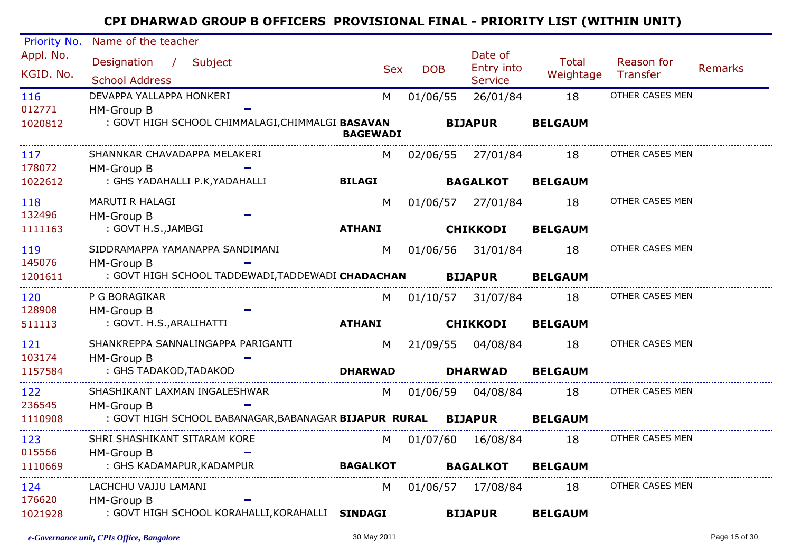| Priority No. | Name of the teacher                                           |                 |            |                     |                |                 |                |
|--------------|---------------------------------------------------------------|-----------------|------------|---------------------|----------------|-----------------|----------------|
| Appl. No.    | Designation / Subject                                         |                 |            | Date of             | <b>Total</b>   | Reason for      |                |
| KGID. No.    |                                                               | <b>Sex</b>      | <b>DOB</b> | Entry into          | Weightage      | Transfer        | <b>Remarks</b> |
|              | <b>School Address</b>                                         |                 |            | <b>Service</b>      |                |                 |                |
| 116          | DEVAPPA YALLAPPA HONKERI                                      | M               | 01/06/55   | 26/01/84            | 18             | OTHER CASES MEN |                |
| 012771       | <b>HM-Group B</b>                                             |                 |            |                     |                |                 |                |
| 1020812      | : GOVT HIGH SCHOOL CHIMMALAGI, CHIMMALGI BASAVAN              | <b>BAGEWADI</b> |            | <b>BIJAPUR</b>      | <b>BELGAUM</b> |                 |                |
| 117          | SHANNKAR CHAVADAPPA MELAKERI                                  | M               |            | 02/06/55 27/01/84   | 18             | OTHER CASES MEN |                |
| 178072       | HM-Group B                                                    |                 |            |                     |                |                 |                |
| 1022612      | : GHS YADAHALLI P.K, YADAHALLI                                | <b>BILAGI</b>   |            | <b>BAGALKOT</b>     | <b>BELGAUM</b> |                 |                |
| 118          | MARUTI R HALAGI                                               | M               |            | 01/06/57 27/01/84   | 18             | OTHER CASES MEN |                |
| 132496       | HM-Group B                                                    |                 |            |                     |                |                 |                |
| 1111163      | : GOVT H.S.,JAMBGI                                            | <b>ATHANI</b>   |            | <b>CHIKKODI</b>     | <b>BELGAUM</b> |                 |                |
| 119          | SIDDRAMAPPA YAMANAPPA SANDIMANI                               | M               |            | 01/06/56 31/01/84   | 18             | OTHER CASES MEN |                |
| 145076       | <b>HM-Group B</b>                                             |                 |            |                     |                |                 |                |
| 1201611      | : GOVT HIGH SCHOOL TADDEWADI,TADDEWADI CHADACHAN              |                 |            | <b>BIJAPUR</b>      | <b>BELGAUM</b> |                 |                |
| 120          | P G BORAGIKAR                                                 | M <sub>1</sub>  |            | 01/10/57 31/07/84   | 18             | OTHER CASES MEN |                |
| 128908       | <b>HM-Group B</b>                                             |                 |            |                     |                |                 |                |
| 511113       | : GOVT. H.S., ARALIHATTI                                      | <b>ATHANI</b>   |            | <b>CHIKKODI</b>     | <b>BELGAUM</b> |                 |                |
| 121          | SHANKREPPA SANNALINGAPPA PARIGANTI                            |                 |            | M 21/09/55 04/08/84 | 18             | OTHER CASES MEN |                |
| 103174       | <b>HM-Group B</b>                                             |                 |            |                     |                |                 |                |
| 1157584      | : GHS TADAKOD,TADAKOD                                         | <b>DHARWAD</b>  |            | <b>DHARWAD</b>      | <b>BELGAUM</b> |                 |                |
| 122          | SHASHIKANT LAXMAN INGALESHWAR                                 | M               |            | 01/06/59 04/08/84   | 18             | OTHER CASES MEN |                |
| 236545       | <b>HM-Group B</b>                                             |                 |            |                     |                |                 |                |
| 1110908      | : GOVT HIGH SCHOOL BABANAGAR, BABANAGAR BIJAPUR RURAL BIJAPUR |                 |            |                     | <b>BELGAUM</b> |                 |                |
| 123          | SHRI SHASHIKANT SITARAM KORE                                  | M               | 01/07/60   | 16/08/84            | 18             | OTHER CASES MEN |                |
| 015566       | HM-Group B                                                    |                 |            |                     |                |                 |                |
| 1110669      | : GHS KADAMAPUR, KADAMPUR                                     | <b>BAGALKOT</b> |            | <b>BAGALKOT</b>     | <b>BELGAUM</b> |                 |                |
| 124          | LACHCHU VAJJU LAMANI                                          | M               |            | 01/06/57 17/08/84   | 18             | OTHER CASES MEN |                |
| 176620       | <b>HM-Group B</b>                                             |                 |            |                     |                |                 |                |
| 1021928      | : GOVT HIGH SCHOOL KORAHALLI, KORAHALLI SINDAGI               |                 |            | <b>BIJAPUR</b>      | <b>BELGAUM</b> |                 |                |
|              |                                                               |                 |            |                     |                |                 |                |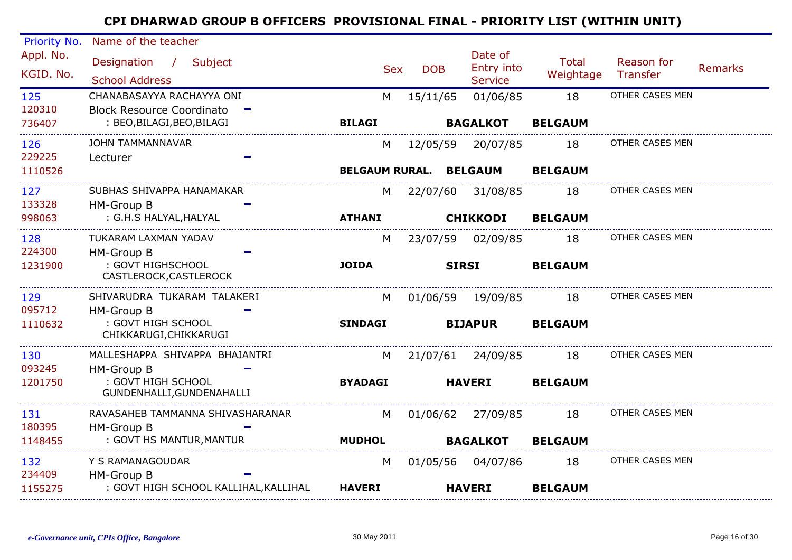| Priority No.     | Name of the teacher                                            |                |            |                        | Date of           |                |                 |                |
|------------------|----------------------------------------------------------------|----------------|------------|------------------------|-------------------|----------------|-----------------|----------------|
| Appl. No.        | Designation /<br>Subject                                       |                | <b>Sex</b> | <b>DOB</b>             | Entry into        | <b>Total</b>   | Reason for      | <b>Remarks</b> |
| KGID. No.        | <b>School Address</b>                                          |                |            |                        | <b>Service</b>    | Weightage      | Transfer        |                |
| 125              | CHANABASAYYA RACHAYYA ONI                                      |                | M          | 15/11/65               | 01/06/85          | 18             | OTHER CASES MEN |                |
| 120310<br>736407 | <b>Block Resource Coordinato</b><br>: BEO, BILAGI, BEO, BILAGI | <b>BILAGI</b>  |            |                        | <b>BAGALKOT</b>   | <b>BELGAUM</b> |                 |                |
|                  |                                                                |                |            |                        |                   |                |                 |                |
| 126<br>229225    | <b>JOHN TAMMANNAVAR</b><br>Lecturer                            |                | M          | 12/05/59               | 20/07/85          | 18             | OTHER CASES MEN |                |
| 1110526          |                                                                |                |            | BELGAUM RURAL. BELGAUM |                   | <b>BELGAUM</b> |                 |                |
| 127              | SUBHAS SHIVAPPA HANAMAKAR                                      |                | M          |                        | 22/07/60 31/08/85 | 18             | OTHER CASES MEN |                |
| 133328           | HM-Group B                                                     |                |            |                        |                   |                |                 |                |
| 998063           | : G.H.S HALYAL, HALYAL                                         | <b>ATHANI</b>  |            |                        | <b>CHIKKODI</b>   | <b>BELGAUM</b> |                 |                |
| 128              | TUKARAM LAXMAN YADAV                                           |                | M          | 23/07/59               | 02/09/85          | 18             | OTHER CASES MEN |                |
| 224300           | HM-Group B                                                     |                |            |                        |                   |                |                 |                |
| 1231900          | : GOVT HIGHSCHOOL<br>CASTLEROCK, CASTLEROCK                    | <b>JOIDA</b>   |            |                        | <b>SIRSI</b>      | <b>BELGAUM</b> |                 |                |
| 129              | SHIVARUDRA TUKARAM TALAKERI                                    |                | M          | 01/06/59               | 19/09/85          | 18             | OTHER CASES MEN |                |
| 095712           | HM-Group B                                                     |                |            |                        |                   |                |                 |                |
| 1110632          | : GOVT HIGH SCHOOL<br>CHIKKARUGI, CHIKKARUGI                   | <b>SINDAGI</b> |            |                        | <b>BIJAPUR</b>    | <b>BELGAUM</b> |                 |                |
| 130              | MALLESHAPPA SHIVAPPA BHAJANTRI                                 |                | M          |                        | 21/07/61 24/09/85 | 18             | OTHER CASES MEN |                |
| 093245           | HM-Group B                                                     |                |            |                        |                   |                |                 |                |
| 1201750          | : GOVT HIGH SCHOOL<br>GUNDENHALLI, GUNDENAHALLI                | <b>BYADAGI</b> |            |                        | <b>HAVERI</b>     | <b>BELGAUM</b> |                 |                |
| 131              | RAVASAHEB TAMMANNA SHIVASHARANAR                               |                | M          | 01/06/62               | 27/09/85          | 18             | OTHER CASES MEN |                |
| 180395           | <b>HM-Group B</b>                                              |                |            |                        |                   |                |                 |                |
| 1148455          | : GOVT HS MANTUR, MANTUR                                       | <b>MUDHOL</b>  |            |                        | <b>BAGALKOT</b>   | <b>BELGAUM</b> |                 |                |
| 132<br>234409    | Y S RAMANAGOUDAR                                               |                | M          | 01/05/56               | 04/07/86          | 18             | OTHER CASES MEN |                |
| 1155275          | HM-Group B<br>: GOVT HIGH SCHOOL KALLIHAL, KALLIHAL            | <b>HAVERI</b>  |            |                        | <b>HAVERI</b>     | <b>BELGAUM</b> |                 |                |
|                  |                                                                |                |            |                        |                   |                |                 |                |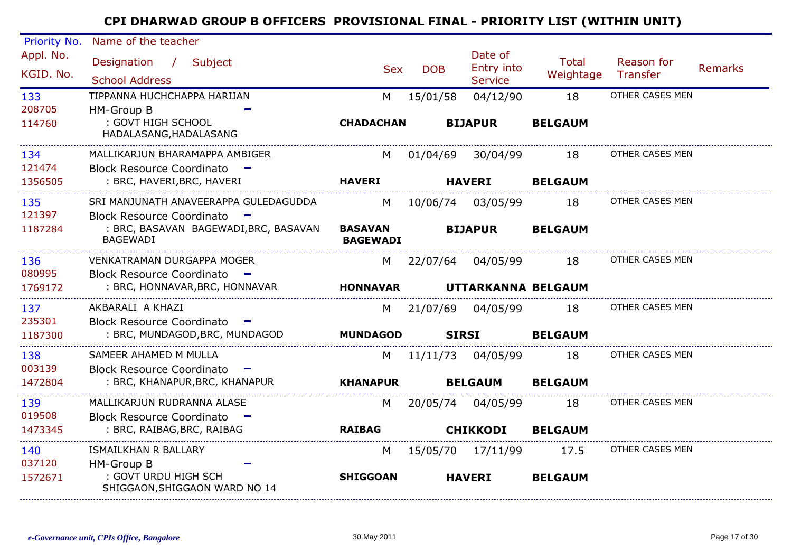| Priority No.           | Name of the teacher                                                                                   |                                   |            |                                         |                           |                        |                |
|------------------------|-------------------------------------------------------------------------------------------------------|-----------------------------------|------------|-----------------------------------------|---------------------------|------------------------|----------------|
| Appl. No.<br>KGID. No. | Designation /<br>Subject<br><b>School Address</b>                                                     | <b>Sex</b>                        | <b>DOB</b> | Date of<br>Entry into<br><b>Service</b> | <b>Total</b><br>Weightage | Reason for<br>Transfer | <b>Remarks</b> |
| 133                    | TIPPANNA HUCHCHAPPA HARIJAN                                                                           | M                                 | 15/01/58   | 04/12/90                                | 18                        | OTHER CASES MEN        |                |
| 208705<br>114760       | HM-Group B<br>: GOVT HIGH SCHOOL<br>HADALASANG, HADALASANG                                            | <b>CHADACHAN</b>                  |            | <b>BIJAPUR</b>                          | <b>BELGAUM</b>            |                        |                |
| 134<br>121474          | MALLIKARJUN BHARAMAPPA AMBIGER<br>Block Resource Coordinato -                                         | M                                 | 01/04/69   | 30/04/99                                | 18                        | OTHER CASES MEN        |                |
| 1356505                | : BRC, HAVERI, BRC, HAVERI                                                                            | <b>HAVERI</b>                     |            | <b>HAVERI</b>                           | <b>BELGAUM</b>            |                        |                |
| 135<br>121397          | SRI MANJUNATH ANAVEERAPPA GULEDAGUDDA<br><b>Block Resource Coordinato</b><br>$\overline{\phantom{a}}$ | M                                 | 10/06/74   | 03/05/99                                | 18                        | OTHER CASES MEN        |                |
| 1187284                | : BRC, BASAVAN BAGEWADI, BRC, BASAVAN<br><b>BAGEWADI</b>                                              | <b>BASAVAN</b><br><b>BAGEWADI</b> |            | <b>BIJAPUR</b>                          | <b>BELGAUM</b>            |                        |                |
| 136<br>080995          | <b>VENKATRAMAN DURGAPPA MOGER</b><br>Block Resource Coordinato -                                      | M                                 | 22/07/64   | 04/05/99                                | 18                        | OTHER CASES MEN        |                |
| 1769172                | : BRC, HONNAVAR, BRC, HONNAVAR                                                                        | <b>HONNAVAR</b>                   |            | UTTARKANNA BELGAUM                      |                           |                        |                |
| 137<br>235301          | AKBARALI A KHAZI<br><b>Block Resource Coordinato</b>                                                  | M                                 | 21/07/69   | 04/05/99                                | 18                        | OTHER CASES MEN        |                |
| 1187300                | <b>Contract</b><br>: BRC, MUNDAGOD, BRC, MUNDAGOD                                                     | <b>MUNDAGOD</b>                   |            | <b>SIRSI</b>                            | <b>BELGAUM</b>            |                        |                |
| 138<br>003139          | SAMEER AHAMED M MULLA                                                                                 | M                                 | 11/11/73   | 04/05/99                                | 18                        | OTHER CASES MEN        |                |
| 1472804                | <b>Block Resource Coordinato</b><br>: BRC, KHANAPUR, BRC, KHANAPUR                                    | <b>KHANAPUR</b>                   |            | <b>BELGAUM</b>                          | <b>BELGAUM</b>            |                        |                |
| 139                    | MALLIKARJUN RUDRANNA ALASE                                                                            | M                                 | 20/05/74   | 04/05/99                                | 18                        | OTHER CASES MEN        |                |
| 019508<br>1473345      | <b>Block Resource Coordinato</b><br>: BRC, RAIBAG, BRC, RAIBAG                                        | <b>RAIBAG</b>                     |            | <b>CHIKKODI</b>                         | <b>BELGAUM</b>            |                        |                |
| 140                    | ISMAILKHAN R BALLARY                                                                                  | M                                 | 15/05/70   | 17/11/99                                | 17.5                      | OTHER CASES MEN        |                |
| 037120<br>1572671      | HM-Group B<br>: GOVT URDU HIGH SCH<br>SHIGGAON, SHIGGAON WARD NO 14                                   | <b>SHIGGOAN</b>                   |            | <b>HAVERI</b>                           | <b>BELGAUM</b>            |                        |                |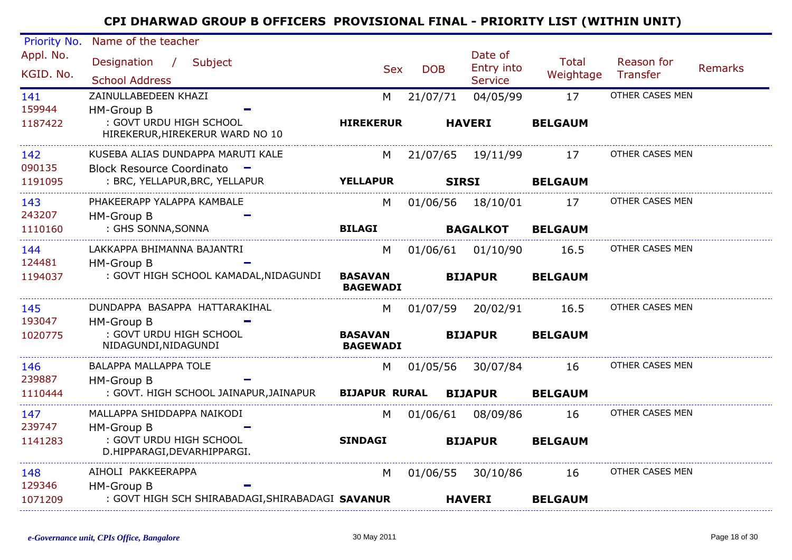| Priority No. | Name of the teacher                                        |                                   |              |                       |                |                 |                |
|--------------|------------------------------------------------------------|-----------------------------------|--------------|-----------------------|----------------|-----------------|----------------|
| Appl. No.    | Designation / Subject                                      | <b>Sex</b>                        | <b>DOB</b>   | Date of<br>Entry into | Total          | Reason for      | <b>Remarks</b> |
| KGID. No.    | <b>School Address</b>                                      |                                   |              | <b>Service</b>        | Weightage      | Transfer        |                |
| 141          | ZAINULLABEDEEN KHAZI                                       | M                                 | 21/07/71     | 04/05/99              | 17             | OTHER CASES MEN |                |
| 159944       | <b>HM-Group B</b>                                          |                                   |              |                       |                |                 |                |
| 1187422      | : GOVT URDU HIGH SCHOOL<br>HIREKERUR, HIREKERUR WARD NO 10 | <b>HIREKERUR</b>                  |              | <b>HAVERI</b>         | <b>BELGAUM</b> |                 |                |
| 142          | KUSEBA ALIAS DUNDAPPA MARUTI KALE                          | M                                 |              | 21/07/65 19/11/99     | 17             | OTHER CASES MEN |                |
| 090135       | Block Resource Coordinato -                                |                                   |              |                       |                |                 |                |
| 1191095      | : BRC, YELLAPUR, BRC, YELLAPUR                             | <b>YELLAPUR</b>                   | <b>SIRSI</b> |                       | <b>BELGAUM</b> |                 |                |
| 143          | PHAKEERAPP YALAPPA KAMBALE                                 | M                                 |              | 01/06/56 18/10/01     | 17             | OTHER CASES MEN |                |
| 243207       | HM-Group B                                                 |                                   |              |                       |                |                 |                |
| 1110160      | : GHS SONNA, SONNA                                         | <b>BILAGI</b>                     |              | <b>BAGALKOT</b>       | <b>BELGAUM</b> |                 |                |
| 144          | LAKKAPPA BHIMANNA BAJANTRI                                 | M                                 |              | 01/06/61 01/10/90     | 16.5           | OTHER CASES MEN |                |
| 124481       | HM-Group B                                                 |                                   |              |                       |                |                 |                |
| 1194037      | : GOVT HIGH SCHOOL KAMADAL, NIDAGUNDI                      | <b>BASAVAN</b><br><b>BAGEWADI</b> |              | <b>BIJAPUR</b>        | <b>BELGAUM</b> |                 |                |
| 145          | DUNDAPPA BASAPPA HATTARAKIHAL                              | M                                 |              | 01/07/59 20/02/91     | 16.5           | OTHER CASES MEN |                |
| 193047       | <b>HM-Group B</b>                                          |                                   |              |                       |                |                 |                |
| 1020775      | : GOVT URDU HIGH SCHOOL<br>NIDAGUNDI, NIDAGUNDI            | <b>BASAVAN</b><br><b>BAGEWADI</b> |              | <b>BIJAPUR</b>        | <b>BELGAUM</b> |                 |                |
| 146          | <b>BALAPPA MALLAPPA TOLE</b>                               | M                                 |              | 01/05/56 30/07/84     | 16             | OTHER CASES MEN |                |
| 239887       | HM-Group B                                                 |                                   |              |                       |                |                 |                |
| 1110444      | : GOVT. HIGH SCHOOL JAINAPUR,JAINAPUR                      | <b>BIJAPUR RURAL</b>              |              | <b>BIJAPUR</b>        | <b>BELGAUM</b> |                 |                |
| 147          | MALLAPPA SHIDDAPPA NAIKODI                                 | M                                 |              | 01/06/61 08/09/86     | 16             | OTHER CASES MEN |                |
| 239747       | HM-Group B                                                 |                                   |              |                       |                |                 |                |
| 1141283      | : GOVT URDU HIGH SCHOOL<br>D.HIPPARAGI, DEVARHIPPARGI.     | <b>SINDAGI</b>                    |              | <b>BIJAPUR</b>        | <b>BELGAUM</b> |                 |                |
| 148          | AIHOLI PAKKEERAPPA                                         | M                                 |              | 01/06/55 30/10/86     | 16             | OTHER CASES MEN |                |
| 129346       | HM-Group B                                                 |                                   |              |                       |                |                 |                |
| 1071209      | : GOVT HIGH SCH SHIRABADAGI, SHIRABADAGI SAVANUR           |                                   |              | <b>HAVERI</b>         | <b>BELGAUM</b> |                 |                |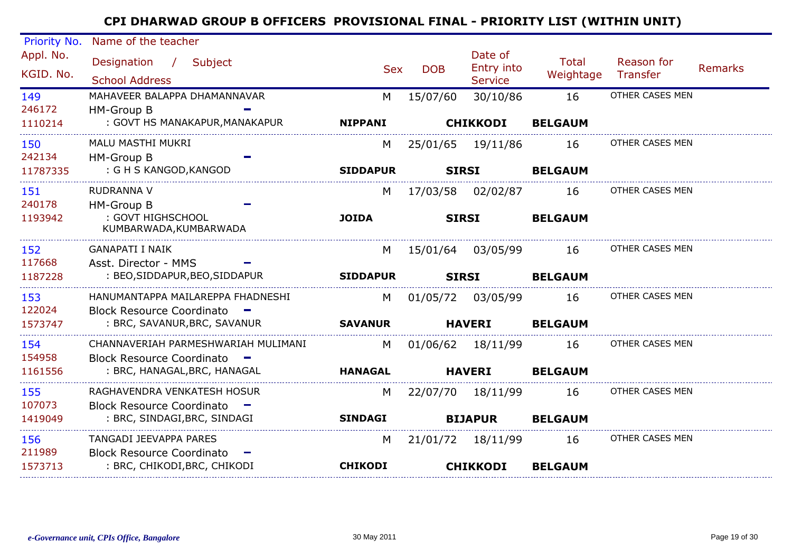| <b>Priority No.</b>    | Name of the teacher                                 |                 |                   |                                         |                           |                               |                |
|------------------------|-----------------------------------------------------|-----------------|-------------------|-----------------------------------------|---------------------------|-------------------------------|----------------|
| Appl. No.<br>KGID. No. | Designation /<br>Subject<br><b>School Address</b>   | <b>Sex</b>      | <b>DOB</b>        | Date of<br>Entry into<br><b>Service</b> | <b>Total</b><br>Weightage | Reason for<br><b>Transfer</b> | <b>Remarks</b> |
| 149                    | MAHAVEER BALAPPA DHAMANNAVAR                        | M               | 15/07/60          | 30/10/86                                | 16                        | OTHER CASES MEN               |                |
| 246172                 | HM-Group B                                          |                 |                   |                                         |                           |                               |                |
| 1110214                | : GOVT HS MANAKAPUR, MANAKAPUR                      | <b>NIPPANI</b>  |                   | <b>CHIKKODI</b>                         | <b>BELGAUM</b>            |                               |                |
| 150                    | MALU MASTHI MUKRI                                   | M               | 25/01/65          | 19/11/86                                | 16                        | OTHER CASES MEN               |                |
| 242134                 | HM-Group B                                          |                 |                   |                                         |                           |                               |                |
| 11787335               | : G H S KANGOD, KANGOD                              | <b>SIDDAPUR</b> | <b>SIRSI</b>      |                                         | <b>BELGAUM</b>            |                               |                |
| 151                    | RUDRANNA V                                          | M               |                   | 17/03/58 02/02/87                       | 16                        | OTHER CASES MEN               |                |
| 240178                 | <b>HM-Group B</b>                                   |                 |                   |                                         |                           |                               |                |
| 1193942                | : GOVT HIGHSCHOOL<br>KUMBARWADA, KUMBARWADA         | <b>JOIDA</b>    | <b>SIRSI</b>      |                                         | <b>BELGAUM</b>            |                               |                |
| 152                    | <b>GANAPATI I NAIK</b>                              | M               | 15/01/64 03/05/99 |                                         | 16                        | OTHER CASES MEN               |                |
| 117668                 | Asst. Director - MMS                                |                 |                   |                                         |                           |                               |                |
| 1187228                | : BEO, SIDDAPUR, BEO, SIDDAPUR                      | <b>SIDDAPUR</b> | <b>SIRSI</b>      |                                         | <b>BELGAUM</b>            |                               |                |
| 153                    | HANUMANTAPPA MAILAREPPA FHADNESHI                   | M               | 01/05/72          | 03/05/99                                | 16                        | OTHER CASES MEN               |                |
| 122024                 | <b>Block Resource Coordinato</b>                    |                 |                   |                                         |                           |                               |                |
| 1573747                | : BRC, SAVANUR, BRC, SAVANUR                        | <b>SAVANUR</b>  |                   | <b>HAVERI</b>                           | <b>BELGAUM</b>            |                               |                |
| 154                    | CHANNAVERIAH PARMESHWARIAH MULIMANI                 | M               | 01/06/62 18/11/99 |                                         | 16                        | OTHER CASES MEN               |                |
| 154958                 | Block Resource Coordinato -                         |                 |                   |                                         |                           |                               |                |
| 1161556                | : BRC, HANAGAL, BRC, HANAGAL                        | <b>HANAGAL</b>  |                   | <b>HAVERI</b>                           | <b>BELGAUM</b>            |                               |                |
| 155                    | RAGHAVENDRA VENKATESH HOSUR                         | M               | 22/07/70          | 18/11/99                                | 16                        | OTHER CASES MEN               |                |
| 107073                 | <b>Block Resource Coordinato</b><br><b>Service</b>  |                 |                   |                                         |                           |                               |                |
| 1419049                | : BRC, SINDAGI, BRC, SINDAGI                        | <b>SINDAGI</b>  |                   | <b>BIJAPUR</b>                          | <b>BELGAUM</b>            |                               |                |
| 156                    | <b>TANGADI JEEVAPPA PARES</b>                       | M               |                   | 21/01/72 18/11/99                       | 16                        | OTHER CASES MEN               |                |
| 211989                 | <b>Block Resource Coordinato</b><br><b>CONTRACT</b> |                 |                   |                                         |                           |                               |                |
| 1573713                | : BRC, CHIKODI,BRC, CHIKODI                         | <b>CHIKODI</b>  |                   | <b>CHIKKODI</b>                         | <b>BELGAUM</b>            |                               |                |
|                        |                                                     |                 |                   |                                         |                           |                               |                |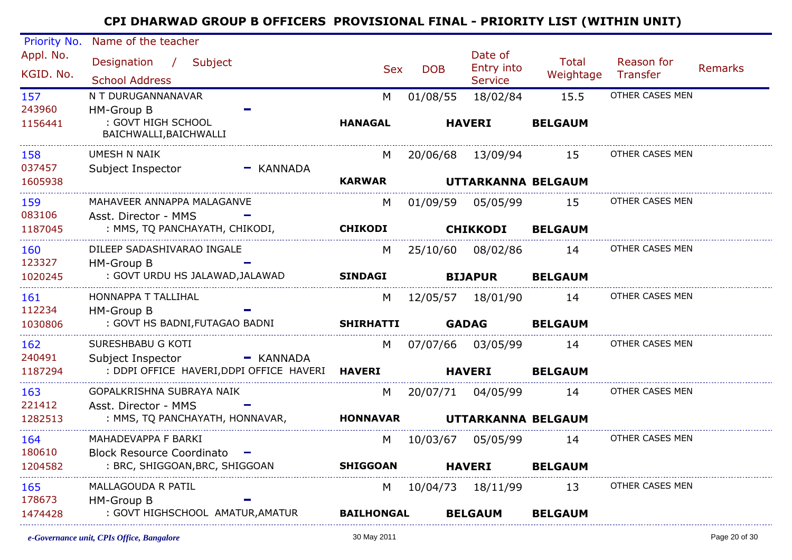| Priority No.           | Name of the teacher                             |                   |            |                                  |                    |                        |                |
|------------------------|-------------------------------------------------|-------------------|------------|----------------------------------|--------------------|------------------------|----------------|
| Appl. No.<br>KGID. No. | Designation / Subject<br><b>School Address</b>  | <b>Sex</b>        | <b>DOB</b> | Date of<br>Entry into<br>Service | Total<br>Weightage | Reason for<br>Transfer | <b>Remarks</b> |
| 157                    | N T DURUGANNANAVAR                              | M                 | 01/08/55   | 18/02/84                         | 15.5               | OTHER CASES MEN        |                |
| 243960                 | HM-Group B                                      |                   |            |                                  |                    |                        |                |
| 1156441                | : GOVT HIGH SCHOOL<br>BAICHWALLI, BAICHWALLI    | <b>HANAGAL</b>    |            | <b>HAVERI</b>                    | <b>BELGAUM</b>     |                        |                |
| 158                    | UMESH N NAIK                                    | M                 |            | 20/06/68 13/09/94                | 15                 | OTHER CASES MEN        |                |
| 037457                 | Subject Inspector<br>$-$ KANNADA                |                   |            |                                  |                    |                        |                |
| 1605938                |                                                 | <b>KARWAR</b>     |            | UTTARKANNA BELGAUM               |                    |                        |                |
| 159                    | MAHAVEER ANNAPPA MALAGANVE                      | M                 |            | 01/09/59 05/05/99                | 15                 | OTHER CASES MEN        |                |
| 083106                 | Asst. Director - MMS                            |                   |            |                                  |                    |                        |                |
| 1187045                | : MMS, TQ PANCHAYATH, CHIKODI,                  | <b>CHIKODI</b>    |            | <b>CHIKKODI</b>                  | <b>BELGAUM</b>     |                        |                |
| 160                    | DILEEP SADASHIVARAO INGALE                      | M                 |            | 25/10/60 08/02/86                | 14                 | OTHER CASES MEN        |                |
| 123327                 | <b>HM-Group B</b>                               |                   |            |                                  |                    |                        |                |
| 1020245                | : GOVT URDU HS JALAWAD, JALAWAD                 | <b>SINDAGI</b>    |            | <b>BIJAPUR</b>                   | <b>BELGAUM</b>     |                        |                |
| 161                    | HONNAPPA T TALLIHAL                             | M                 |            | 12/05/57 18/01/90                | 14                 | OTHER CASES MEN        |                |
| 112234                 | HM-Group B                                      |                   |            |                                  |                    |                        |                |
| 1030806                | : GOVT HS BADNI, FUTAGAO BADNI                  | <b>SHIRHATTI</b>  |            | <b>GADAG</b>                     | <b>BELGAUM</b>     |                        |                |
| 162                    | SURESHBABU G KOTI                               | M                 |            |                                  | 14                 | OTHER CASES MEN        |                |
| 240491                 | Subject Inspector<br>— KANNADA                  |                   |            |                                  |                    |                        |                |
| 1187294                | : DDPI OFFICE HAVERI, DDPI OFFICE HAVERI HAVERI |                   |            | <b>HAVERI</b>                    | <b>BELGAUM</b>     |                        |                |
| 163                    | GOPALKRISHNA SUBRAYA NAIK                       | M                 |            | 20/07/71 04/05/99                | 14                 | OTHER CASES MEN        |                |
| 221412                 | Asst. Director - MMS                            |                   |            |                                  |                    |                        |                |
| 1282513                | : MMS, TQ PANCHAYATH, HONNAVAR,                 | <b>HONNAVAR</b>   |            | UTTARKANNA BELGAUM               |                    |                        |                |
| 164                    | MAHADEVAPPA F BARKI                             |                   | M 10/03/67 | 05/05/99                         | 14                 | OTHER CASES MEN        |                |
| 180610                 | Block Resource Coordinato -                     |                   |            |                                  |                    |                        |                |
| 1204582                | : BRC, SHIGGOAN, BRC, SHIGGOAN                  | <b>SHIGGOAN</b>   |            | <b>HAVERI</b>                    | <b>BELGAUM</b>     |                        |                |
| 165                    | MALLAGOUDA R PATIL                              | M                 |            | 10/04/73  18/11/99               | 13                 | OTHER CASES MEN        |                |
| 178673                 | HM-Group B                                      |                   |            |                                  |                    |                        |                |
| 1474428                | : GOVT HIGHSCHOOL AMATUR, AMATUR                | <b>BAILHONGAL</b> |            | <b>BELGAUM</b>                   | <b>BELGAUM</b>     |                        |                |
|                        |                                                 |                   |            |                                  |                    |                        |                |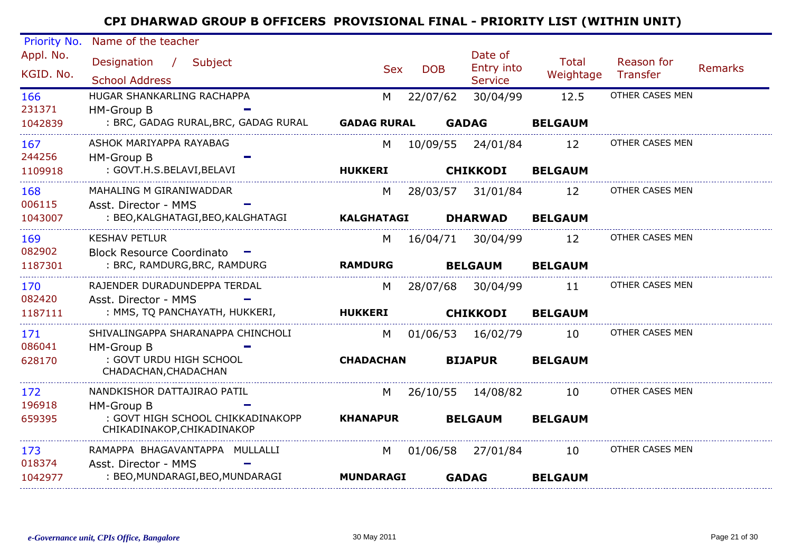| Priority No.           | Name of the teacher                                             |                    |            |                                         |                           |                        |                |
|------------------------|-----------------------------------------------------------------|--------------------|------------|-----------------------------------------|---------------------------|------------------------|----------------|
| Appl. No.<br>KGID. No. | Designation /<br>Subject<br><b>School Address</b>               | <b>Sex</b>         | <b>DOB</b> | Date of<br>Entry into<br><b>Service</b> | <b>Total</b><br>Weightage | Reason for<br>Transfer | <b>Remarks</b> |
| 166                    | HUGAR SHANKARLING RACHAPPA                                      | M                  | 22/07/62   | 30/04/99                                | 12.5                      | OTHER CASES MEN        |                |
| 231371                 | HM-Group B                                                      |                    |            |                                         |                           |                        |                |
| 1042839                | : BRC, GADAG RURAL, BRC, GADAG RURAL                            | <b>GADAG RURAL</b> |            | <b>GADAG</b>                            | <b>BELGAUM</b>            |                        |                |
| 167                    | ASHOK MARIYAPPA RAYABAG                                         | M                  |            | 10/09/55 24/01/84                       | 12                        | OTHER CASES MEN        |                |
| 244256                 | HM-Group B                                                      |                    |            |                                         |                           |                        |                |
| 1109918                | : GOVT.H.S.BELAVI, BELAVI                                       | <b>HUKKERI</b>     |            | <b>CHIKKODI</b>                         | <b>BELGAUM</b>            |                        |                |
| 168                    | MAHALING M GIRANIWADDAR                                         | M                  |            | 28/03/57 31/01/84                       | 12                        | OTHER CASES MEN        |                |
| 006115                 | Asst. Director - MMS                                            |                    |            |                                         |                           |                        |                |
| 1043007                | : BEO, KALGHATAGI, BEO, KALGHATAGI                              | <b>KALGHATAGI</b>  |            | <b>DHARWAD</b>                          | <b>BELGAUM</b>            |                        |                |
| 169                    | <b>KESHAV PETLUR</b>                                            | M                  | 16/04/71   | 30/04/99                                | 12                        | OTHER CASES MEN        |                |
| 082902                 | <b>Block Resource Coordinato</b>                                |                    |            |                                         |                           |                        |                |
| 1187301                | : BRC, RAMDURG, BRC, RAMDURG                                    | <b>RAMDURG</b>     |            | <b>BELGAUM</b>                          | <b>BELGAUM</b>            |                        |                |
| 170                    | RAJENDER DURADUNDEPPA TERDAL                                    | M                  | 28/07/68   | 30/04/99                                | 11                        | OTHER CASES MEN        |                |
| 082420                 | Asst. Director - MMS                                            |                    |            |                                         |                           |                        |                |
| 1187111                | : MMS, TQ PANCHAYATH, HUKKERI,                                  | <b>HUKKERI</b>     |            | <b>CHIKKODI</b>                         | <b>BELGAUM</b>            |                        |                |
| 171                    | SHIVALINGAPPA SHARANAPPA CHINCHOLI                              | M                  | 01/06/53   | 16/02/79                                | 10                        | OTHER CASES MEN        |                |
| 086041                 | HM-Group B                                                      |                    |            |                                         |                           |                        |                |
| 628170                 | : GOVT URDU HIGH SCHOOL<br>CHADACHAN, CHADACHAN                 | <b>CHADACHAN</b>   |            | <b>BIJAPUR</b>                          | <b>BELGAUM</b>            |                        |                |
| 172                    | NANDKISHOR DATTAJIRAO PATIL                                     | M                  | 26/10/55   | 14/08/82                                | 10                        | OTHER CASES MEN        |                |
| 196918                 | HM-Group B                                                      |                    |            |                                         |                           |                        |                |
| 659395                 | : GOVT HIGH SCHOOL CHIKKADINAKOPP<br>CHIKADINAKOP, CHIKADINAKOP | <b>KHANAPUR</b>    |            | <b>BELGAUM</b>                          | <b>BELGAUM</b>            |                        |                |
| 173                    | RAMAPPA BHAGAVANTAPPA MULLALLI                                  | M                  | 01/06/58   | 27/01/84                                | 10                        | OTHER CASES MEN        |                |
| 018374                 | Asst. Director - MMS                                            |                    |            |                                         |                           |                        |                |
| 1042977                | : BEO, MUNDARAGI, BEO, MUNDARAGI                                | <b>MUNDARAGI</b>   |            | <b>GADAG</b>                            | <b>BELGAUM</b>            |                        |                |
|                        |                                                                 |                    |            |                                         |                           |                        |                |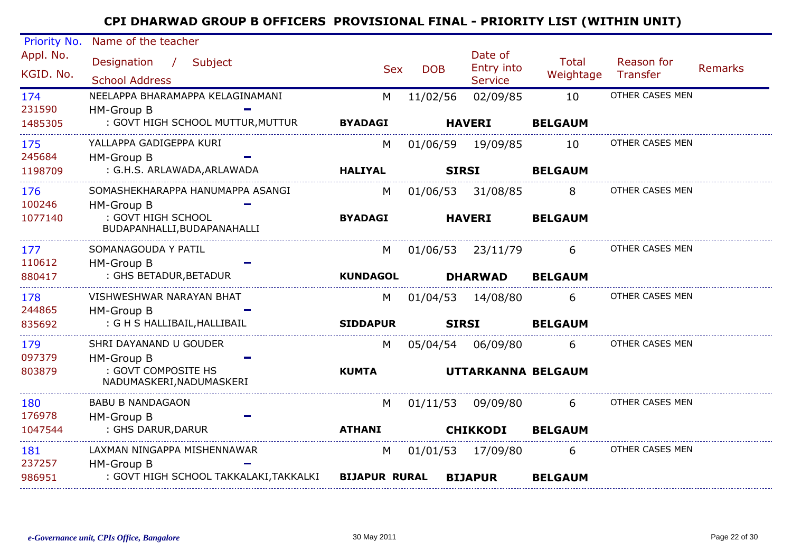| Priority No.           | Name of the teacher                                           |                 |              |                                         |                           |                        |                |
|------------------------|---------------------------------------------------------------|-----------------|--------------|-----------------------------------------|---------------------------|------------------------|----------------|
| Appl. No.<br>KGID. No. | Designation /<br>Subject<br><b>School Address</b>             | <b>Sex</b>      | <b>DOB</b>   | Date of<br>Entry into<br><b>Service</b> | <b>Total</b><br>Weightage | Reason for<br>Transfer | <b>Remarks</b> |
| 174<br>231590          | NEELAPPA BHARAMAPPA KELAGINAMANI<br>HM-Group B                | M               | 11/02/56     | 02/09/85                                | 10                        | OTHER CASES MEN        |                |
| 1485305                | : GOVT HIGH SCHOOL MUTTUR, MUTTUR                             | <b>BYADAGI</b>  |              | <b>HAVERI</b>                           | <b>BELGAUM</b>            |                        |                |
| 175<br>245684          | YALLAPPA GADIGEPPA KURI<br>HM-Group B                         | М               | 01/06/59     | 19/09/85                                | 10                        | OTHER CASES MEN        |                |
| 1198709                | : G.H.S. ARLAWADA, ARLAWADA                                   | <b>HALIYAL</b>  | <b>SIRSI</b> |                                         | <b>BELGAUM</b>            |                        |                |
| 176<br>100246          | SOMASHEKHARAPPA HANUMAPPA ASANGI<br>HM-Group B                | M               |              | 01/06/53 31/08/85                       | 8                         | OTHER CASES MEN        |                |
| 1077140                | : GOVT HIGH SCHOOL<br>BUDAPANHALLI, BUDAPANAHALLI             | <b>BYADAGI</b>  |              | <b>HAVERI</b>                           | <b>BELGAUM</b>            |                        |                |
| 177                    | SOMANAGOUDA Y PATIL                                           | M               |              | 01/06/53 23/11/79                       | 6                         | OTHER CASES MEN        |                |
| 110612<br>880417       | HM-Group B<br>: GHS BETADUR, BETADUR                          | <b>KUNDAGOL</b> |              | <b>DHARWAD</b>                          | <b>BELGAUM</b>            |                        |                |
| 178                    | VISHWESHWAR NARAYAN BHAT                                      | M               | 01/04/53     | 14/08/80                                | 6                         | OTHER CASES MEN        |                |
| 244865<br>835692       | HM-Group B<br>: G H S HALLIBAIL, HALLIBAIL                    | <b>SIDDAPUR</b> | <b>SIRSI</b> |                                         | <b>BELGAUM</b>            |                        |                |
| 179                    | SHRI DAYANAND U GOUDER                                        | M               |              | 05/04/54 06/09/80                       | 6                         | OTHER CASES MEN        |                |
| 097379<br>803879       | HM-Group B<br>: GOVT COMPOSITE HS<br>NADUMASKERI, NADUMASKERI | <b>KUMTA</b>    |              | UTTARKANNA BELGAUM                      |                           |                        |                |
| 180                    | <b>BABU B NANDAGAON</b>                                       | M               | 01/11/53     | 09/09/80                                | 6                         | OTHER CASES MEN        |                |
| 176978<br>1047544      | HM-Group B<br>: GHS DARUR, DARUR                              | <b>ATHANI</b>   |              | <b>CHIKKODI</b>                         | <b>BELGAUM</b>            |                        |                |
| 181<br>237257          | LAXMAN NINGAPPA MISHENNAWAR<br>HM-Group B                     | M               |              | 01/01/53 17/09/80                       | 6                         | OTHER CASES MEN        |                |
| 986951                 | : GOVT HIGH SCHOOL TAKKALAKI, TAKKALKI BIJAPUR RURAL          |                 |              | <b>BIJAPUR</b>                          | <b>BELGAUM</b>            |                        |                |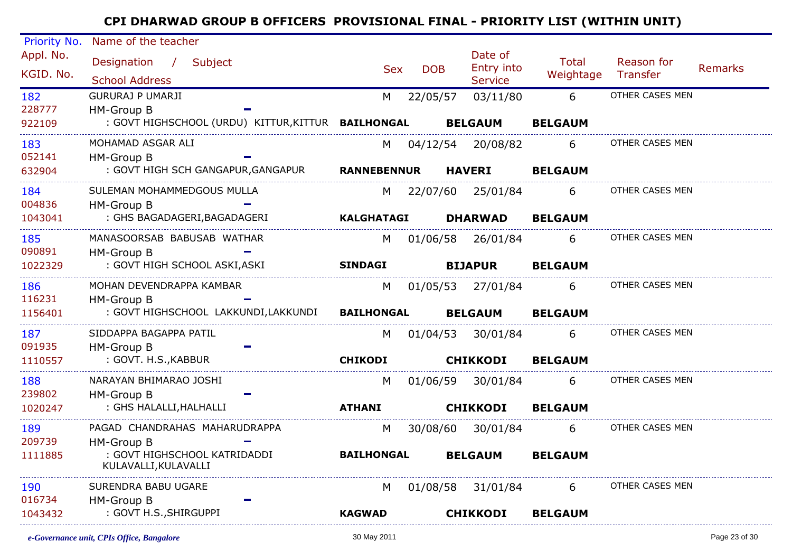| Priority No. | Name of the teacher                                                    |                   |            |                              |                |                 |                |
|--------------|------------------------------------------------------------------------|-------------------|------------|------------------------------|----------------|-----------------|----------------|
| Appl. No.    | Designation / Subject                                                  |                   |            | Date of                      | Total          | Reason for      |                |
| KGID. No.    | <b>School Address</b>                                                  | <b>Sex</b>        | <b>DOB</b> | Entry into<br><b>Service</b> | Weightage      | Transfer        | <b>Remarks</b> |
| 182          | <b>GURURAJ P UMARJI</b>                                                | M                 | 22/05/57   | 03/11/80                     | 6              | OTHER CASES MEN |                |
| 228777       | HM-Group B                                                             |                   |            |                              |                |                 |                |
| 922109       | : GOVT HIGHSCHOOL (URDU) KITTUR, KITTUR BAILHONGAL BELGAUM             |                   |            |                              | <b>BELGAUM</b> |                 |                |
| 183          | MOHAMAD ASGAR ALI                                                      | M                 | 04/12/54   | 20/08/82                     | 6              | OTHER CASES MEN |                |
| 052141       | HM-Group B                                                             |                   |            |                              |                |                 |                |
| 632904       | : GOVT HIGH SCH GANGAPUR, GANGAPUR RANNEBENNUR                         |                   |            | <b>HAVERI</b>                | <b>BELGAUM</b> |                 |                |
| 184          | SULEMAN MOHAMMEDGOUS MULLA                                             |                   |            | M 22/07/60 25/01/84          | 6              | OTHER CASES MEN |                |
| 004836       | HM-Group B                                                             |                   |            |                              |                |                 |                |
| 1043041      | : GHS BAGADAGERI, BAGADAGERI                                           | <b>KALGHATAGI</b> |            | <b>DHARWAD</b>               | <b>BELGAUM</b> |                 |                |
| 185          | MANASOORSAB BABUSAB WATHAR                                             | M                 |            | 01/06/58 26/01/84            | 6              | OTHER CASES MEN |                |
| 090891       | HM-Group B                                                             |                   |            |                              |                |                 |                |
| 1022329      | : GOVT HIGH SCHOOL ASKI, ASKI<br>------------------------------------- | <b>SINDAGI</b>    |            | <b>BIJAPUR</b>               | <b>BELGAUM</b> |                 |                |
| 186          | MOHAN DEVENDRAPPA KAMBAR                                               | M                 |            | 01/05/53 27/01/84            | 6              | OTHER CASES MEN |                |
| 116231       | HM-Group B                                                             |                   |            |                              |                |                 |                |
| 1156401      | : GOVT HIGHSCHOOL LAKKUNDI,LAKKUNDI BAILHONGAL                         |                   |            | <b>BELGAUM</b>               | <b>BELGAUM</b> |                 |                |
| 187          | SIDDAPPA BAGAPPA PATIL                                                 | M                 |            | 01/04/53 30/01/84            | 6              | OTHER CASES MEN |                |
| 091935       | HM-Group B                                                             |                   |            |                              |                |                 |                |
| 1110557      | : GOVT. H.S., KABBUR                                                   | <b>CHIKODI</b>    |            | <b>CHIKKODI</b>              | <b>BELGAUM</b> |                 |                |
| 188          | NARAYAN BHIMARAO JOSHI                                                 | M                 |            | 01/06/59 30/01/84            | 6              | OTHER CASES MEN |                |
| 239802       | HM-Group B                                                             |                   |            |                              |                |                 |                |
| 1020247      | : GHS HALALLI, HALHALLI                                                | <b>ATHANI</b>     |            | <b>CHIKKODI</b>              | <b>BELGAUM</b> |                 |                |
| 189          | PAGAD CHANDRAHAS MAHARUDRAPPA                                          | M                 | 30/08/60   | 30/01/84                     | $6 \quad$      | OTHER CASES MEN |                |
| 209739       | HM-Group B                                                             |                   |            |                              |                |                 |                |
| 1111885      | : GOVT HIGHSCHOOL KATRIDADDI<br>KULAVALLI, KULAVALLI                   | <b>BAILHONGAL</b> |            | <b>BELGAUM</b>               | <b>BELGAUM</b> |                 |                |
| 190          | SURENDRA BABU UGARE                                                    | M                 |            | 01/08/58 31/01/84            | 6              | OTHER CASES MEN |                |
| 016734       | HM-Group B                                                             |                   |            |                              |                |                 |                |
| 1043432      | : GOVT H.S., SHIRGUPPI                                                 | <b>KAGWAD</b>     |            | <b>CHIKKODI</b>              | <b>BELGAUM</b> |                 |                |
|              |                                                                        |                   |            |                              |                |                 |                |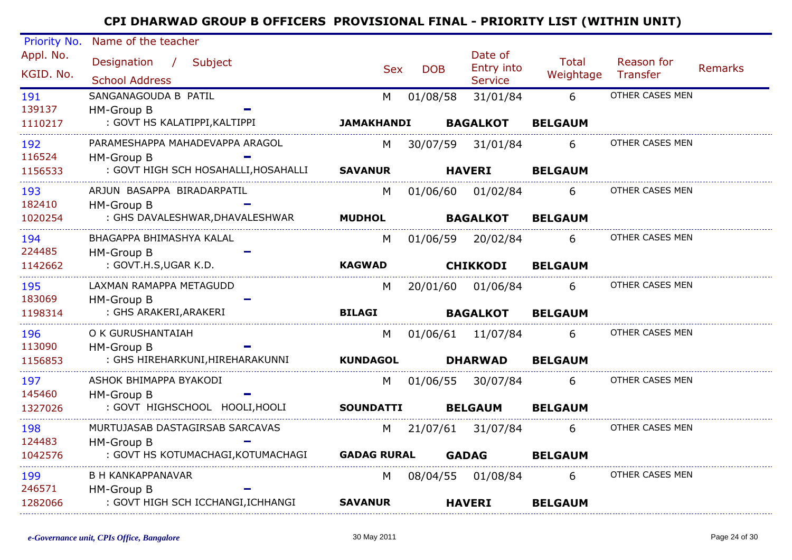| Priority No.<br>Appl. No. | Name of the teacher<br>Designation / Subject |                    |            | Date of                      | <b>Total</b>   | Reason for      |                |
|---------------------------|----------------------------------------------|--------------------|------------|------------------------------|----------------|-----------------|----------------|
| KGID. No.                 | <b>School Address</b>                        | <b>Sex</b>         | <b>DOB</b> | Entry into<br><b>Service</b> | Weightage      | Transfer        | <b>Remarks</b> |
| 191                       | SANGANAGOUDA B PATIL                         | M                  | 01/08/58   | 31/01/84                     | 6              | OTHER CASES MEN |                |
| 139137                    | <b>HM-Group B</b>                            |                    |            |                              |                |                 |                |
| 1110217                   | : GOVT HS KALATIPPI, KALTIPPI                | <b>JAMAKHANDI</b>  |            | <b>BAGALKOT</b>              | <b>BELGAUM</b> |                 |                |
| 192                       | PARAMESHAPPA MAHADEVAPPA ARAGOL              | M                  | 30/07/59   | 31/01/84                     | 6              | OTHER CASES MEN |                |
| 116524                    | <b>HM-Group B</b>                            |                    |            |                              |                |                 |                |
| 1156533                   | : GOVT HIGH SCH HOSAHALLI, HOSAHALLI SAVANUR |                    |            | <b>HAVERI</b>                | <b>BELGAUM</b> |                 |                |
| 193                       | ARJUN BASAPPA BIRADARPATIL                   | M                  | 01/06/60   | 01/02/84                     | 6              | OTHER CASES MEN |                |
| 182410                    | HM-Group B                                   |                    |            |                              |                |                 |                |
| 1020254                   | : GHS DAVALESHWAR, DHAVALESHWAR              | <b>MUDHOL</b>      |            | <b>BAGALKOT</b>              | <b>BELGAUM</b> |                 |                |
| 194                       | BHAGAPPA BHIMASHYA KALAL                     | M                  | 01/06/59   | 20/02/84                     | 6              | OTHER CASES MEN |                |
| 224485                    | HM-Group B                                   |                    |            |                              |                |                 |                |
| 1142662                   | : GOVT.H.S,UGAR K.D.                         | <b>KAGWAD</b>      |            | <b>CHIKKODI</b>              | <b>BELGAUM</b> |                 |                |
| 195                       | LAXMAN RAMAPPA METAGUDD                      | M                  |            | 20/01/60 01/06/84            | 6              | OTHER CASES MEN |                |
| 183069                    | <b>HM-Group B</b>                            |                    |            |                              |                |                 |                |
| 1198314                   | : GHS ARAKERI, ARAKERI                       | <b>BILAGI</b>      |            | <b>BAGALKOT</b>              | <b>BELGAUM</b> |                 |                |
| 196                       | O K GURUSHANTAIAH                            | M                  |            | 01/06/61 11/07/84            | 6              | OTHER CASES MEN |                |
| 113090                    | <b>HM-Group B</b>                            |                    |            |                              |                |                 |                |
| 1156853                   | : GHS HIREHARKUNI, HIREHARAKUNNI             | <b>KUNDAGOL</b>    |            | <b>DHARWAD</b>               | <b>BELGAUM</b> |                 |                |
| 197                       | ASHOK BHIMAPPA BYAKODI                       | M                  | 01/06/55   | 30/07/84                     | 6              | OTHER CASES MEN |                |
| 145460                    | HM-Group B                                   |                    |            |                              |                |                 |                |
| 1327026                   | : GOVT HIGHSCHOOL HOOLI, HOOLI               | <b>SOUNDATTI</b>   |            | <b>BELGAUM</b>               | <b>BELGAUM</b> |                 |                |
| 198                       | MURTUJASAB DASTAGIRSAB SARCAVAS              |                    |            | M 21/07/61 31/07/84          | 6              | OTHER CASES MEN |                |
| 124483                    | <b>HM-Group B</b>                            |                    |            |                              |                |                 |                |
| 1042576                   | : GOVT HS KOTUMACHAGI, KOTUMACHAGI           | <b>GADAG RURAL</b> |            | <b>GADAG</b>                 | <b>BELGAUM</b> |                 |                |
| 199                       | <b>B H KANKAPPANAVAR</b>                     | M                  |            | 08/04/55 01/08/84            | 6              | OTHER CASES MEN |                |
| 246571                    | <b>HM-Group B</b>                            |                    |            |                              |                |                 |                |
| 1282066                   | : GOVT HIGH SCH ICCHANGI, ICHHANGI           | <b>SAVANUR</b>     |            | <b>HAVERI</b>                | <b>BELGAUM</b> |                 |                |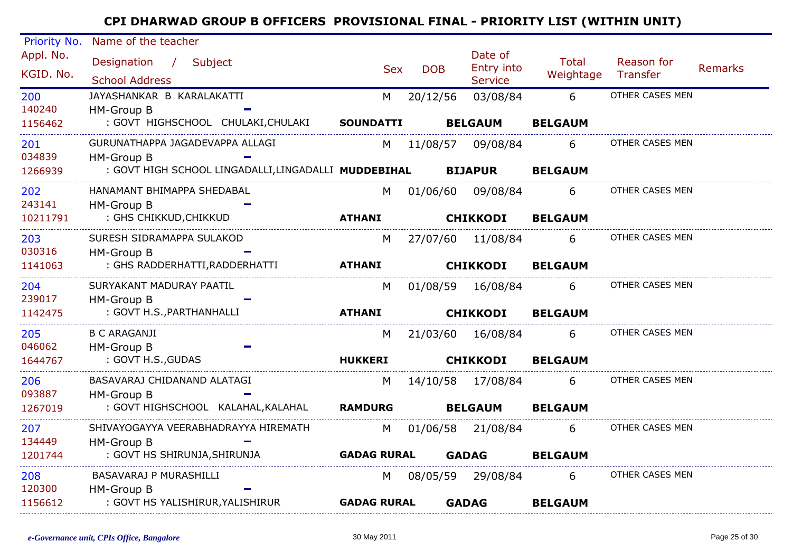| Priority No. | Name of the teacher                                                 |                          |            |                       |                       |                 |                |
|--------------|---------------------------------------------------------------------|--------------------------|------------|-----------------------|-----------------------|-----------------|----------------|
| Appl. No.    | Designation / Subject                                               |                          |            | Date of<br>Entry into | Total                 | Reason for      |                |
| KGID. No.    | <b>School Address</b>                                               | <b>Sex</b>               | <b>DOB</b> | <b>Service</b>        | Weightage Transfer    |                 | <b>Remarks</b> |
| 200          | JAYASHANKAR B KARALAKATTI                                           | M                        | 20/12/56   | 03/08/84              | $6\overline{6}$       | OTHER CASES MEN |                |
| 140240       | HM-Group B                                                          |                          |            |                       |                       |                 |                |
| 1156462      | : GOVT HIGHSCHOOL CHULAKI, CHULAKI SOUNDATTI                        |                          |            | <b>BELGAUM</b>        | <b>BELGAUM</b>        |                 |                |
| 201          | GURUNATHAPPA JAGADEVAPPA ALLAGI                                     |                          |            | M 11/08/57 09/08/84   | 6                     | OTHER CASES MEN |                |
| 034839       | HM-Group B                                                          |                          |            |                       |                       |                 |                |
| 1266939      | : GOVT HIGH SCHOOL LINGADALLI,LINGADALLI MUDDEBIHAL         BIJAPUR |                          |            |                       | <b>BELGAUM</b>        |                 |                |
| 202          | HANAMANT BHIMAPPA SHEDABAL                                          | M                        |            |                       | 01/06/60 09/08/84 6   | OTHER CASES MEN |                |
| 243141       | HM-Group B                                                          |                          |            |                       |                       |                 |                |
| 10211791     | : GHS CHIKKUD,CHIKKUD                                               | <b>ATHANI</b>            |            | <b>CHIKKODI</b>       | <b>BELGAUM</b>        |                 |                |
| 203          | SURESH SIDRAMAPPA SULAKOD                                           |                          |            |                       | M 27/07/60 11/08/84 6 | OTHER CASES MEN |                |
| 030316       | HM-Group B                                                          |                          |            |                       |                       |                 |                |
| 1141063      |                                                                     |                          |            | <b>CHIKKODI</b>       | <b>BELGAUM</b>        |                 |                |
| 204          | SURYAKANT MADURAY PAATIL                                            | M                        |            | 01/08/59  16/08/84    | $6 \qquad$            | OTHER CASES MEN |                |
| 239017       | HM-Group B                                                          |                          |            |                       |                       |                 |                |
| 1142475      | : GOVT H.S.,PARTHANHALLI                                            | <b>ATHANI</b>            |            | <b>CHIKKODI</b>       | <b>BELGAUM</b>        |                 |                |
| 205          | <b>B C ARAGANJI</b>                                                 | M.                       |            | 21/03/60  16/08/84    | 6                     | OTHER CASES MEN |                |
| 046062       | HM-Group B                                                          |                          |            |                       |                       |                 |                |
| 1644767      | : GOVT H.S., GUDAS                                                  | <b>HUKKERI</b>           |            | <b>CHIKKODI</b>       | <b>BELGAUM</b>        |                 |                |
| 206          | BASAVARAJ CHIDANAND ALATAGI                                         | M                        |            |                       | 14/10/58 17/08/84 6   | OTHER CASES MEN |                |
| 093887       | HM-Group B                                                          |                          |            |                       |                       |                 |                |
| 1267019      | : GOVT HIGHSCHOOL KALAHAL, KALAHAL RAMDURG                          |                          |            | <b>BELGAUM</b>        | <b>BELGAUM</b>        |                 |                |
| 207          | SHIVAYOGAYYA VEERABHADRAYYA HIREMATH                                |                          |            |                       | M 01/06/58 21/08/84 6 | OTHER CASES MEN |                |
| 134449       | HM-Group B                                                          |                          |            |                       |                       |                 |                |
| 1201744      | : GOVT HS SHIRUNJA, SHIRUNJA                                        | <b>GADAG RURAL GADAG</b> |            |                       | <b>BELGAUM</b>        |                 |                |
| 208          | BASAVARAJ P MURASHILLI                                              | M .                      |            | 08/05/59 29/08/84     | 6                     | OTHER CASES MEN |                |
| 120300       | HM-Group B                                                          |                          |            |                       |                       |                 |                |
| 1156612      | : GOVT HS YALISHIRUR, YALISHIRUR <b>GADAG RURAL</b>                 |                          |            | <b>GADAG</b>          | <b>BELGAUM</b>        |                 |                |
|              |                                                                     |                          |            |                       |                       |                 |                |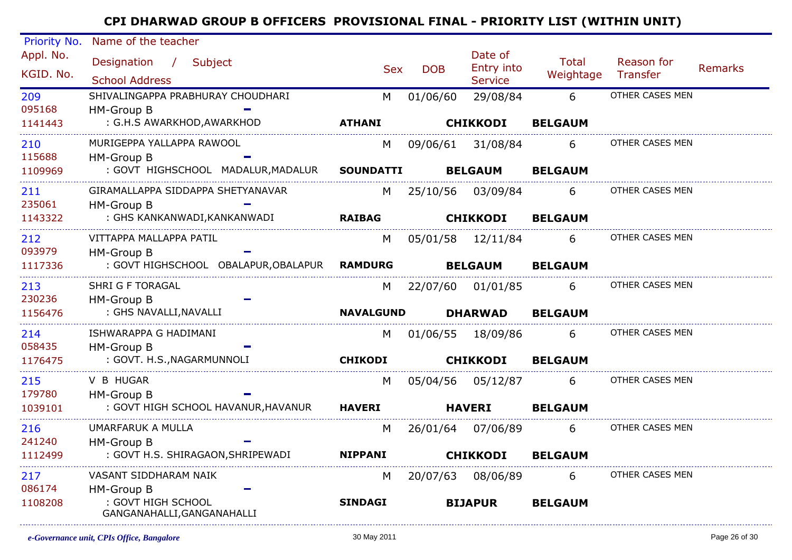| Priority No. | Name of the teacher                          |                  |            |                              |                |                 |                |
|--------------|----------------------------------------------|------------------|------------|------------------------------|----------------|-----------------|----------------|
| Appl. No.    | Designation / Subject                        |                  |            | Date of                      | Total          | Reason for      |                |
| KGID. No.    | <b>School Address</b>                        | <b>Sex</b>       | <b>DOB</b> | Entry into<br><b>Service</b> | Weightage      | Transfer        | <b>Remarks</b> |
| 209          | SHIVALINGAPPA PRABHURAY CHOUDHARI            | M                | 01/06/60   | 29/08/84                     | 6              | OTHER CASES MEN |                |
| 095168       | <b>HM-Group B</b>                            |                  |            |                              |                |                 |                |
| 1141443      | : G.H.S AWARKHOD, AWARKHOD                   | <b>ATHANI</b>    |            | <b>CHIKKODI</b>              | <b>BELGAUM</b> |                 |                |
| 210          | MURIGEPPA YALLAPPA RAWOOL                    | M                |            | 09/06/61 31/08/84            | 6              | OTHER CASES MEN |                |
| 115688       | HM-Group B                                   |                  |            |                              |                |                 |                |
| 1109969      | : GOVT HIGHSCHOOL MADALUR, MADALUR SOUNDATTI |                  |            | <b>BELGAUM</b>               | <b>BELGAUM</b> |                 |                |
| 211          | GIRAMALLAPPA SIDDAPPA SHETYANAVAR            |                  |            | M 25/10/56 03/09/84          | 6              | OTHER CASES MEN |                |
| 235061       | HM-Group B                                   |                  |            |                              |                |                 |                |
| 1143322      | : GHS KANKANWADI, KANKANWADI                 | <b>RAIBAG</b>    |            | <b>CHIKKODI</b>              | <b>BELGAUM</b> |                 |                |
| 212          | VITTAPPA MALLAPPA PATIL                      | M                |            | 05/01/58 12/11/84            | 6              | OTHER CASES MEN |                |
| 093979       | HM-Group B                                   |                  |            |                              |                |                 |                |
| 1117336      | : GOVT HIGHSCHOOL OBALAPUR, OBALAPUR RAMDURG |                  |            | <b>BELGAUM</b>               | <b>BELGAUM</b> |                 |                |
| 213          | <b>SHRI G F TORAGAL</b>                      | M                |            | 22/07/60  01/01/85           | 6              | OTHER CASES MEN |                |
| 230236       | HM-Group B                                   |                  |            |                              |                |                 |                |
| 1156476      | : GHS NAVALLI, NAVALLI                       | <b>NAVALGUND</b> |            | <b>DHARWAD</b>               | <b>BELGAUM</b> |                 |                |
| 214          | ISHWARAPPA G HADIMANI                        | M                |            | 01/06/55 18/09/86            | 6              | OTHER CASES MEN |                |
| 058435       | HM-Group B                                   |                  |            |                              |                |                 |                |
| 1176475      | : GOVT. H.S., NAGARMUNNOLI                   | <b>CHIKODI</b>   |            | <b>CHIKKODI</b>              | <b>BELGAUM</b> |                 |                |
| 215          | V B HUGAR                                    | M                |            |                              | 6              | OTHER CASES MEN |                |
| 179780       | HM-Group B                                   |                  |            |                              |                |                 |                |
| 1039101      | : GOVT HIGH SCHOOL HAVANUR, HAVANUR HAVERI   |                  |            | <b>HAVERI</b>                | <b>BELGAUM</b> |                 |                |
| 216          | UMARFARUK A MULLA                            | M                |            | 26/01/64 07/06/89            | 6              | OTHER CASES MEN |                |
| 241240       | HM-Group B                                   |                  |            |                              |                |                 |                |
| 1112499      | : GOVT H.S. SHIRAGAON, SHRIPEWADI NIPPANI    |                  |            | <b>CHIKKODI</b>              | <b>BELGAUM</b> |                 |                |
| 217          | VASANT SIDDHARAM NAIK                        | M                | 20/07/63   | 08/06/89                     | 6              | OTHER CASES MEN |                |
| 086174       | HM-Group B                                   |                  |            |                              |                |                 |                |
| 1108208      | : GOVT HIGH SCHOOL                           | <b>SINDAGI</b>   |            | <b>BIJAPUR</b>               | <b>BELGAUM</b> |                 |                |
|              | GANGANAHALLI, GANGANAHALLI                   |                  |            |                              |                |                 |                |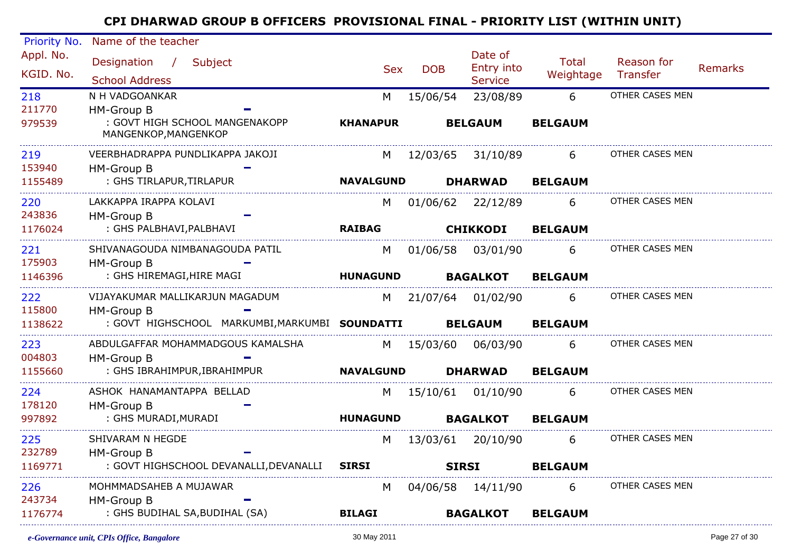| Priority No.  | Name of the teacher                                    |                                                                                                                                                                                                                                |            |                       |                |                 |         |
|---------------|--------------------------------------------------------|--------------------------------------------------------------------------------------------------------------------------------------------------------------------------------------------------------------------------------|------------|-----------------------|----------------|-----------------|---------|
| Appl. No.     | Designation / Subject                                  | <b>Sex</b>                                                                                                                                                                                                                     | <b>DOB</b> | Date of<br>Entry into | Total          | Reason for      | Remarks |
| KGID. No.     | <b>School Address</b>                                  |                                                                                                                                                                                                                                |            | <b>Service</b>        | Weightage      | Transfer        |         |
| 218           | N H VADGOANKAR                                         | M                                                                                                                                                                                                                              | 15/06/54   | 23/08/89              | 6              | OTHER CASES MEN |         |
| 211770        | HM-Group B                                             |                                                                                                                                                                                                                                |            |                       |                |                 |         |
| 979539        | : GOVT HIGH SCHOOL MANGENAKOPP<br>MANGENKOP, MANGENKOP | <b>KHANAPUR</b>                                                                                                                                                                                                                |            | <b>BELGAUM</b>        | <b>BELGAUM</b> |                 |         |
| 219           | VEERBHADRAPPA PUNDLIKAPPA JAKOJI                       |                                                                                                                                                                                                                                |            | M 12/03/65 31/10/89   | 6              | OTHER CASES MEN |         |
| 153940        | HM-Group B                                             |                                                                                                                                                                                                                                |            |                       |                |                 |         |
| 1155489       | : GHS TIRLAPUR, TIRLAPUR                               | <b>NAVALGUND</b>                                                                                                                                                                                                               |            | <b>DHARWAD</b>        | <b>BELGAUM</b> |                 |         |
| 220<br>243836 | LAKKAPPA IRAPPA KOLAVI                                 | M                                                                                                                                                                                                                              |            | 01/06/62 22/12/89     | 6              | OTHER CASES MEN |         |
| 1176024       | HM-Group B<br>: GHS PALBHAVI, PALBHAVI                 | <b>RAIBAG</b>                                                                                                                                                                                                                  |            | <b>CHIKKODI</b>       | <b>BELGAUM</b> |                 |         |
| 221           | SHIVANAGOUDA NIMBANAGOUDA PATIL                        | M                                                                                                                                                                                                                              |            | 01/06/58 03/01/90     | 6              | OTHER CASES MEN |         |
| 175903        | HM-Group B                                             |                                                                                                                                                                                                                                |            |                       |                |                 |         |
| 1146396       | : GHS HIREMAGI,HIRE MAGI                               | <b>HUNAGUND</b>                                                                                                                                                                                                                |            | <b>BAGALKOT</b>       | <b>BELGAUM</b> |                 |         |
| 222           | VIJAYAKUMAR MALLIKARJUN MAGADUM                        | M <sub>1</sub>                                                                                                                                                                                                                 |            | 21/07/64 01/02/90     | 6              | OTHER CASES MEN |         |
| 115800        | HM-Group B                                             |                                                                                                                                                                                                                                |            |                       |                |                 |         |
| 1138622       | : GOVT HIGHSCHOOL MARKUMBI, MARKUMBI SOUNDATTI         |                                                                                                                                                                                                                                |            | <b>BELGAUM</b>        | <b>BELGAUM</b> |                 |         |
| 223<br>004803 | ABDULGAFFAR MOHAMMADGOUS KAMALSHA<br>HM-Group B        |                                                                                                                                                                                                                                |            | M 15/03/60 06/03/90   | 6              | OTHER CASES MEN |         |
| 1155660       | : GHS IBRAHIMPUR, IBRAHIMPUR                           | <b>NAVALGUND</b>                                                                                                                                                                                                               |            | <b>DHARWAD</b>        | <b>BELGAUM</b> |                 |         |
| 224           | ASHOK HANAMANTAPPA BELLAD                              | M and the monother of the monother of the monother of the set of the set of the set of the monother of the monother of the monother of the monother of the monother of the monother of the monother of the monother of the mon |            | 15/10/61  01/10/90    | 6              | OTHER CASES MEN |         |
| 178120        | HM-Group B                                             |                                                                                                                                                                                                                                |            |                       |                |                 |         |
| 997892        | : GHS MURADI, MURADI                                   | <b>HUNAGUND</b>                                                                                                                                                                                                                |            | <b>BAGALKOT</b>       | <b>BELGAUM</b> |                 |         |
| 225           | SHIVARAM N HEGDE                                       | M                                                                                                                                                                                                                              |            | 13/03/61 20/10/90     | 6              | OTHER CASES MEN |         |
| 232789        | HM-Group B                                             |                                                                                                                                                                                                                                |            |                       |                |                 |         |
| 1169771       | : GOVT HIGHSCHOOL DEVANALLI, DEVANALLI SIRSI           |                                                                                                                                                                                                                                |            | <b>SIRSI</b>          | <b>BELGAUM</b> |                 |         |
| 226           | MOHMMADSAHEB A MUJAWAR                                 | M                                                                                                                                                                                                                              |            | 04/06/58 14/11/90     | 6              | OTHER CASES MEN |         |
| 243734        | HM-Group B<br>: GHS BUDIHAL SA, BUDIHAL (SA)           |                                                                                                                                                                                                                                |            |                       |                |                 |         |
| 1176774       |                                                        | <b>BILAGI</b>                                                                                                                                                                                                                  |            | <b>BAGALKOT</b>       | <b>BELGAUM</b> |                 |         |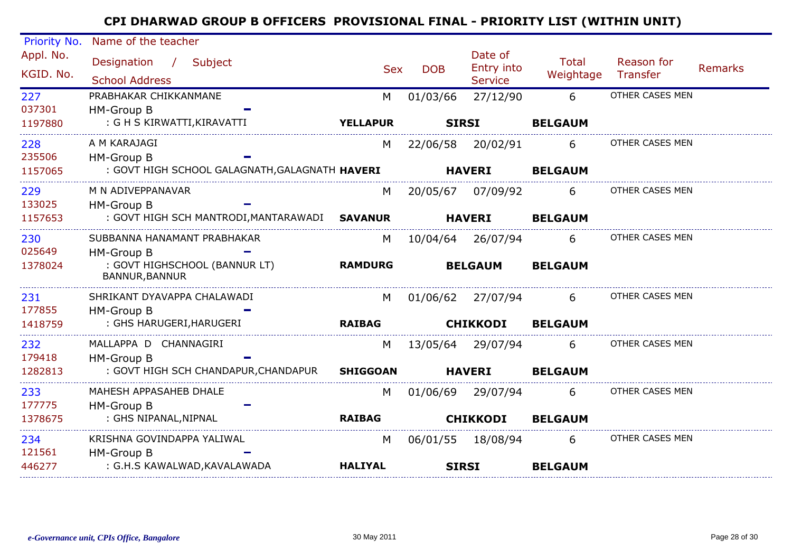| Priority No.           | Name of the teacher                             |                 |              |                                  |                           |                               |                |
|------------------------|-------------------------------------------------|-----------------|--------------|----------------------------------|---------------------------|-------------------------------|----------------|
| Appl. No.<br>KGID. No. | Designation / Subject<br><b>School Address</b>  | <b>Sex</b>      | <b>DOB</b>   | Date of<br>Entry into<br>Service | <b>Total</b><br>Weightage | Reason for<br><b>Transfer</b> | <b>Remarks</b> |
| 227                    | PRABHAKAR CHIKKANMANE                           | M               | 01/03/66     | 27/12/90                         | 6                         | OTHER CASES MEN               |                |
| 037301                 | <b>HM-Group B</b>                               |                 |              |                                  |                           |                               |                |
| 1197880                | : G H S KIRWATTI, KIRAVATTI                     | <b>YELLAPUR</b> | <b>SIRSI</b> |                                  | <b>BELGAUM</b>            |                               |                |
| 228                    | A M KARAJAGI                                    | M               |              | 22/06/58 20/02/91                | 6                         | OTHER CASES MEN               |                |
| 235506                 | HM-Group B                                      |                 |              |                                  |                           |                               |                |
| 1157065                | : GOVT HIGH SCHOOL GALAGNATH,GALAGNATH HAVERI   |                 |              | <b>HAVERI</b>                    | <b>BELGAUM</b>            |                               |                |
| 229                    | M N ADIVEPPANAVAR                               | M               |              | 20/05/67 07/09/92 6              |                           | OTHER CASES MEN               |                |
| 133025                 | HM-Group B                                      |                 |              |                                  |                           |                               |                |
| 1157653                | : GOVT HIGH SCH MANTRODI,MANTARAWADI SAVANUR    |                 |              | <b>HAVERI</b>                    | <b>BELGAUM</b>            |                               |                |
| 230                    | SUBBANNA HANAMANT PRABHAKAR                     | M               |              | 10/04/64 26/07/94 6              |                           | OTHER CASES MEN               |                |
| 025649                 | <b>HM-Group B</b>                               |                 |              |                                  |                           |                               |                |
| 1378024                | : GOVT HIGHSCHOOL (BANNUR LT)<br>BANNUR, BANNUR | <b>RAMDURG</b>  |              | <b>BELGAUM</b>                   | <b>BELGAUM</b>            |                               |                |
| 231                    | SHRIKANT DYAVAPPA CHALAWADI                     | M <sub>N</sub>  |              | 01/06/62 27/07/94     6          |                           | OTHER CASES MEN               |                |
| 177855                 | <b>HM-Group B</b>                               |                 |              |                                  |                           |                               |                |
| 1418759                | : GHS HARUGERI,HARUGERI                         | <b>RAIBAG</b>   |              | <b>CHIKKODI</b>                  | <b>BELGAUM</b>            |                               |                |
| 232                    | MALLAPPA D CHANNAGIRI                           | M               |              | 13/05/64  29/07/94    6          |                           | OTHER CASES MEN               |                |
| 179418                 | <b>HM-Group B</b>                               |                 |              |                                  |                           |                               |                |
| 1282813                | : GOVT HIGH SCH CHANDAPUR,CHANDAPUR             | <b>SHIGGOAN</b> |              | <b>HAVERI</b>                    | <b>BELGAUM</b>            |                               |                |
| 233                    | MAHESH APPASAHEB DHALE                          | M               |              | 01/06/69 29/07/94                | 6                         | OTHER CASES MEN               |                |
| 177775                 | HM-Group B                                      |                 |              |                                  |                           |                               |                |
| 1378675                | : GHS NIPANAL,NIPNAL                            | <b>RAIBAG</b>   |              | <b>CHIKKODI</b>                  | <b>BELGAUM</b>            |                               |                |
| 234                    | KRISHNA GOVINDAPPA YALIWAL                      | M               |              | 06/01/55 18/08/94                | 6                         | OTHER CASES MEN               |                |
| 121561                 | <b>HM-Group B</b>                               |                 |              |                                  |                           |                               |                |
| 446277                 | : G.H.S KAWALWAD,KAVALAWADA                     | <b>HALIYAL</b>  |              | <b>SIRSI</b>                     | <b>BELGAUM</b>            |                               |                |
|                        |                                                 |                 |              |                                  |                           |                               |                |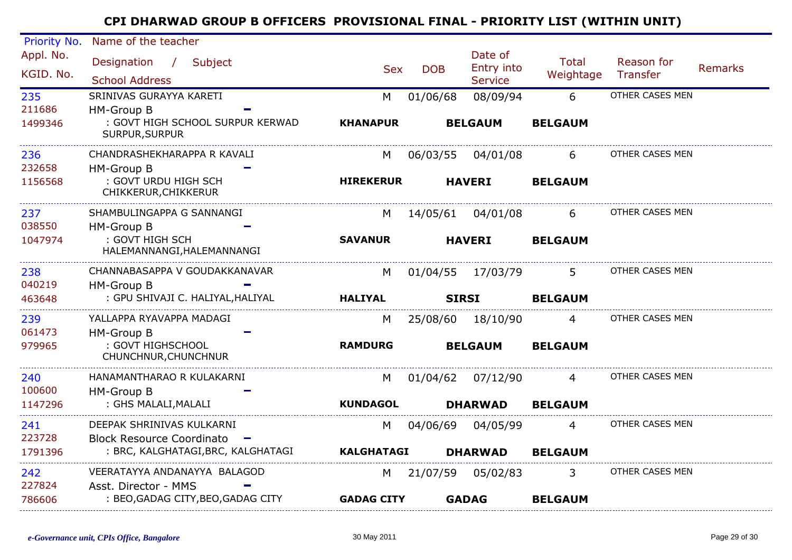| Priority No. | Name of the teacher                                |                   |            |                       |                |                 |                |
|--------------|----------------------------------------------------|-------------------|------------|-----------------------|----------------|-----------------|----------------|
| Appl. No.    | Designation / Subject                              | <b>Sex</b>        | <b>DOB</b> | Date of<br>Entry into | Total          | Reason for      | <b>Remarks</b> |
| KGID. No.    | <b>School Address</b>                              |                   |            | <b>Service</b>        | Weightage      | Transfer        |                |
| 235          | SRINIVAS GURAYYA KARETI                            | M                 | 01/06/68   | 08/09/94              | 6              | OTHER CASES MEN |                |
| 211686       | <b>HM-Group B</b>                                  |                   |            |                       |                |                 |                |
| 1499346      | : GOVT HIGH SCHOOL SURPUR KERWAD<br>SURPUR, SURPUR | <b>KHANAPUR</b>   |            | <b>BELGAUM</b>        | <b>BELGAUM</b> |                 |                |
| 236          | CHANDRASHEKHARAPPA R KAVALI                        | M                 | 06/03/55   | 04/01/08              | 6              | OTHER CASES MEN |                |
| 232658       | HM-Group B                                         |                   |            |                       |                |                 |                |
| 1156568      | : GOVT URDU HIGH SCH<br>CHIKKERUR, CHIKKERUR       | <b>HIREKERUR</b>  |            | <b>HAVERI</b>         | <b>BELGAUM</b> |                 |                |
| 237          | SHAMBULINGAPPA G SANNANGI                          | M                 |            | 14/05/61 04/01/08     | 6.             | OTHER CASES MEN |                |
| 038550       | HM-Group B                                         |                   |            |                       |                |                 |                |
| 1047974      | : GOVT HIGH SCH<br>HALEMANNANGI, HALEMANNANGI      | <b>SAVANUR</b>    |            | <b>HAVERI</b>         | <b>BELGAUM</b> |                 |                |
| 238          | CHANNABASAPPA V GOUDAKKANAVAR                      | M                 |            | 01/04/55 17/03/79     | 5 <sup>5</sup> | OTHER CASES MEN |                |
| 040219       | HM-Group B                                         |                   |            |                       |                |                 |                |
| 463648       | : GPU SHIVAJI C. HALIYAL, HALIYAL                  | <b>HALIYAL</b>    |            | <b>SIRSI</b>          | <b>BELGAUM</b> |                 |                |
| 239          | YALLAPPA RYAVAPPA MADAGI                           | M                 | 25/08/60   | 18/10/90              | $\overline{4}$ | OTHER CASES MEN |                |
| 061473       | HM-Group B                                         |                   |            |                       |                |                 |                |
| 979965       | : GOVT HIGHSCHOOL<br>CHUNCHNUR, CHUNCHNUR          | <b>RAMDURG</b>    |            | <b>BELGAUM</b>        | <b>BELGAUM</b> |                 |                |
| 240          | HANAMANTHARAO R KULAKARNI                          | M                 | 01/04/62   | 07/12/90              | $\overline{4}$ | OTHER CASES MEN |                |
| 100600       | HM-Group B                                         |                   |            |                       |                |                 |                |
| 1147296      | : GHS MALALI, MALALI                               | <b>KUNDAGOL</b>   |            | <b>DHARWAD</b>        | <b>BELGAUM</b> |                 |                |
| 241          | DEEPAK SHRINIVAS KULKARNI                          | M                 | 04/06/69   | 04/05/99              | 4              | OTHER CASES MEN |                |
| 223728       | <b>Block Resource Coordinato</b>                   |                   |            |                       |                |                 |                |
| 1791396      | : BRC, KALGHATAGI, BRC, KALGHATAGI                 | <b>KALGHATAGI</b> |            | <b>DHARWAD</b>        | <b>BELGAUM</b> |                 |                |
| 242          | VEERATAYYA ANDANAYYA BALAGOD                       | M                 | 21/07/59   | 05/02/83              | 3              | OTHER CASES MEN |                |
| 227824       | Asst. Director - MMS                               |                   |            |                       |                |                 |                |
| 786606       | : BEO, GADAG CITY, BEO, GADAG CITY                 | <b>GADAG CITY</b> |            | <b>GADAG</b>          | <b>BELGAUM</b> |                 |                |
|              |                                                    |                   |            |                       |                |                 |                |